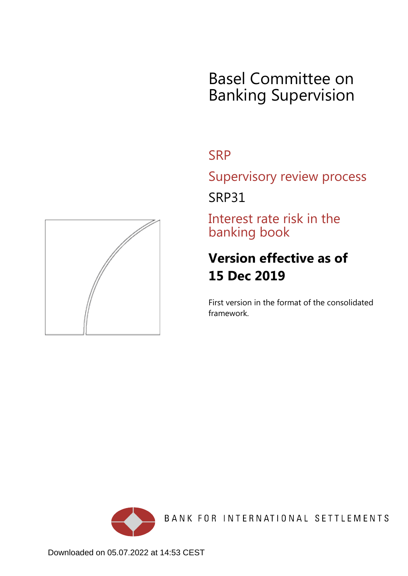# Basel Committee on Banking Supervision

## **SRP**

Supervisory review process

SRP31

Interest rate risk in the banking book

## **Version effective as of 15 Dec 2019**

First version in the format of the consolidated framework.



<span id="page-0-0"></span>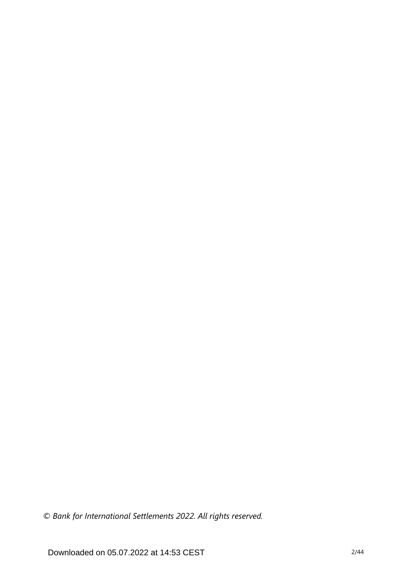*© Bank for International Settlements 2022. All rights reserved.*

Downloaded on 05.07.2022 at 14:53 CEST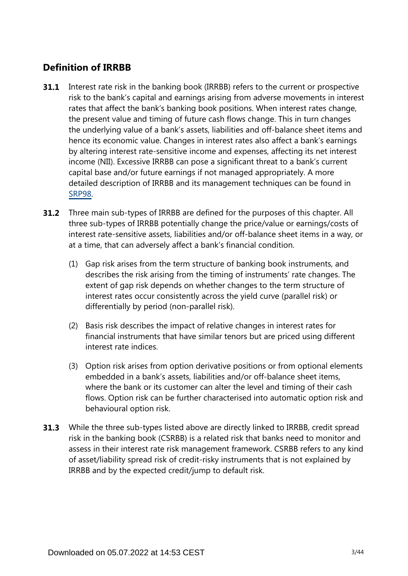## **Definition of IRRBB**

- Interest rate risk in the banking book (IRRBB) refers to the current or prospective risk to the bank's capital and earnings arising from adverse movements in interest rates that affect the bank's banking book positions. When interest rates change, the present value and timing of future cash flows change. This in turn changes the underlying value of a bank's assets, liabilities and off-balance sheet items and hence its economic value. Changes in interest rates also affect a bank's earnings by altering interest rate-sensitive income and expenses, affecting its net interest income (NII). Excessive IRRBB can pose a significant threat to a bank's current capital base and/or future earnings if not managed appropriately. A more detailed description of IRRBB and its management techniques can be found in [SRP98](https://www.bis.org/basel_framework/chapter/SRP/98.htm?tldate=20281012&inforce=20191215&published=20191215). **31.1**
- **31.2** Three main sub-types of IRRBB are defined for the purposes of this chapter. All three sub-types of IRRBB potentially change the price/value or earnings/costs of interest rate-sensitive assets, liabilities and/or off-balance sheet items in a way, or at a time, that can adversely affect a bank's financial condition.
	- (1) Gap risk arises from the term structure of banking book instruments, and describes the risk arising from the timing of instruments' rate changes. The extent of gap risk depends on whether changes to the term structure of interest rates occur consistently across the yield curve (parallel risk) or differentially by period (non-parallel risk).
	- (2) Basis risk describes the impact of relative changes in interest rates for financial instruments that have similar tenors but are priced using different interest rate indices.
	- (3) Option risk arises from option derivative positions or from optional elements embedded in a bank's assets, liabilities and/or off-balance sheet items, where the bank or its customer can alter the level and timing of their cash flows. Option risk can be further characterised into automatic option risk and behavioural option risk.
- While the three sub-types listed above are directly linked to IRRBB, credit spread **31.3** risk in the banking book (CSRBB) is a related risk that banks need to monitor and assess in their interest rate risk management framework. CSRBB refers to any kind of asset/liability spread risk of credit-risky instruments that is not explained by IRRBB and by the expected credit/jump to default risk.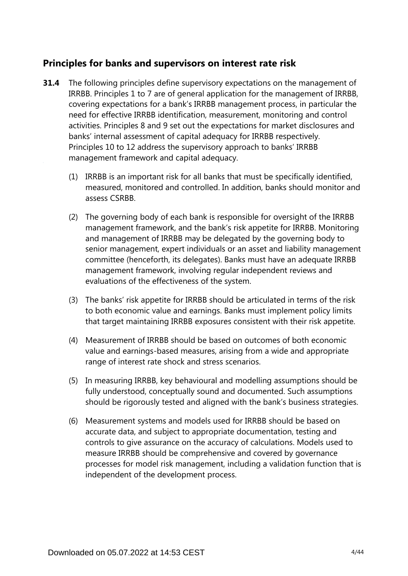## **Principles for banks and supervisors on interest rate risk**

- **31.4** The following principles define supervisory expectations on the management of IRRBB. Principles 1 to 7 are of general application for the management of IRRBB, covering expectations for a bank's IRRBB management process, in particular the need for effective IRRBB identification, measurement, monitoring and control activities. Principles 8 and 9 set out the expectations for market disclosures and banks' internal assessment of capital adequacy for IRRBB respectively. Principles 10 to 12 address the supervisory approach to banks' IRRBB management framework and capital adequacy.
	- (1) IRRBB is an important risk for all banks that must be specifically identified, measured, monitored and controlled. In addition, banks should monitor and assess CSRBB.
	- (2) The governing body of each bank is responsible for oversight of the IRRBB management framework, and the bank's risk appetite for IRRBB. Monitoring and management of IRRBB may be delegated by the governing body to senior management, expert individuals or an asset and liability management committee (henceforth, its delegates). Banks must have an adequate IRRBB management framework, involving regular independent reviews and evaluations of the effectiveness of the system.
	- (3) The banks' risk appetite for IRRBB should be articulated in terms of the risk to both economic value and earnings. Banks must implement policy limits that target maintaining IRRBB exposures consistent with their risk appetite.
	- (4) Measurement of IRRBB should be based on outcomes of both economic value and earnings-based measures, arising from a wide and appropriate range of interest rate shock and stress scenarios.
	- (5) In measuring IRRBB, key behavioural and modelling assumptions should be fully understood, conceptually sound and documented. Such assumptions should be rigorously tested and aligned with the bank's business strategies.
	- (6) Measurement systems and models used for IRRBB should be based on accurate data, and subject to appropriate documentation, testing and controls to give assurance on the accuracy of calculations. Models used to measure IRRBB should be comprehensive and covered by governance processes for model risk management, including a validation function that is independent of the development process.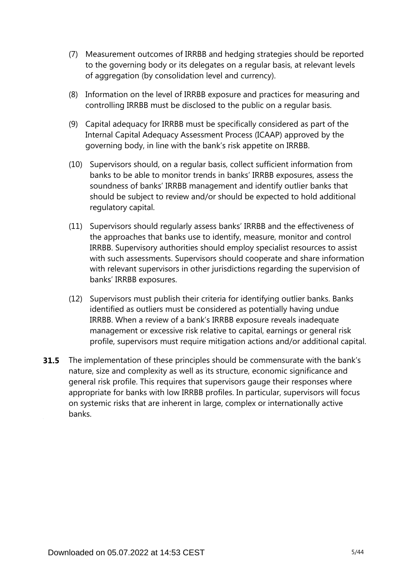- (7) Measurement outcomes of IRRBB and hedging strategies should be reported to the governing body or its delegates on a regular basis, at relevant levels of aggregation (by consolidation level and currency).
- (8) Information on the level of IRRBB exposure and practices for measuring and controlling IRRBB must be disclosed to the public on a regular basis.
- (9) Capital adequacy for IRRBB must be specifically considered as part of the Internal Capital Adequacy Assessment Process (ICAAP) approved by the governing body, in line with the bank's risk appetite on IRRBB.
- (10) Supervisors should, on a regular basis, collect sufficient information from banks to be able to monitor trends in banks' IRRBB exposures, assess the soundness of banks' IRRBB management and identify outlier banks that should be subject to review and/or should be expected to hold additional regulatory capital.
- (11) Supervisors should regularly assess banks' IRRBB and the effectiveness of the approaches that banks use to identify, measure, monitor and control IRRBB. Supervisory authorities should employ specialist resources to assist with such assessments. Supervisors should cooperate and share information with relevant supervisors in other jurisdictions regarding the supervision of banks' IRRBB exposures.
- (12) Supervisors must publish their criteria for identifying outlier banks. Banks identified as outliers must be considered as potentially having undue IRRBB. When a review of a bank's IRRBB exposure reveals inadequate management or excessive risk relative to capital, earnings or general risk profile, supervisors must require mitigation actions and/or additional capital.
- **31.5** The implementation of these principles should be commensurate with the bank's nature, size and complexity as well as its structure, economic significance and general risk profile. This requires that supervisors gauge their responses where appropriate for banks with low IRRBB profiles. In particular, supervisors will focus on systemic risks that are inherent in large, complex or internationally active banks.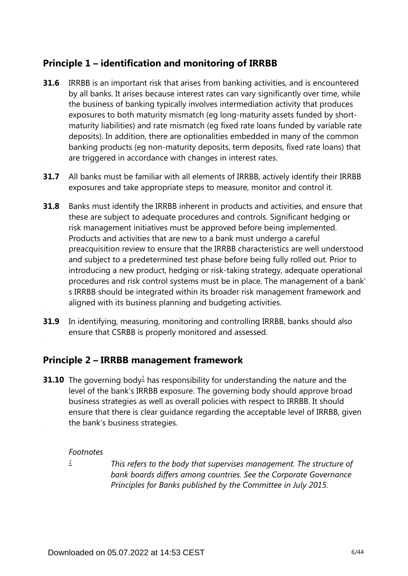## **Principle 1 – identification and monitoring of IRRBB**

- **31.6** IRRBB is an important risk that arises from banking activities, and is encountered by all banks. It arises because interest rates can vary significantly over time, while the business of banking typically involves intermediation activity that produces exposures to both maturity mismatch (eg long-maturity assets funded by shortmaturity liabilities) and rate mismatch (eg fixed rate loans funded by variable rate deposits). In addition, there are optionalities embedded in many of the common banking products (eg non-maturity deposits, term deposits, fixed rate loans) that are triggered in accordance with changes in interest rates.
- **31.7** All banks must be familiar with all elements of IRRBB, actively identify their IRRBB exposures and take appropriate steps to measure, monitor and control it.
- Banks must identify the IRRBB inherent in products and activities, and ensure that these are subject to adequate procedures and controls. Significant hedging or risk management initiatives must be approved before being implemented. Products and activities that are new to a bank must undergo a careful preacquisition review to ensure that the IRRBB characteristics are well understood and subject to a predetermined test phase before being fully rolled out. Prior to introducing a new product, hedging or risk-taking strategy, adequate operational procedures and risk control systems must be in place. The management of a bank' s IRRBB should be integrated within its broader risk management framework and aligned with its business planning and budgeting activities. **31.8**
- In identifying, measuring, monitoring and controlling IRRBB, banks should also ensure that CSRBB is properly monitored and assessed. **31.9**

## **Principle 2 – IRRBB management framework**

<span id="page-5-1"></span>**3[1](#page-5-0).10** The governing body $\frac{1}{2}$  has responsibility for understanding the nature and the level of the bank's IRRBB exposure. The governing body should approve broad business strategies as well as overall policies with respect to IRRBB. It should ensure that there is clear guidance regarding the acceptable level of IRRBB, given the bank's business strategies.

### *Footnotes*

<span id="page-5-0"></span>*[1](#page-5-1)*

*This refers to the body that supervises management. The structure of bank boards differs among countries. See the Corporate Governance Principles for Banks published by the Committee in July 2015.*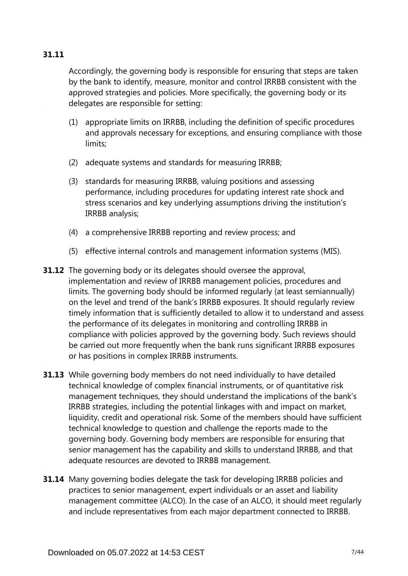## **31.11**

Accordingly, the governing body is responsible for ensuring that steps are taken by the bank to identify, measure, monitor and control IRRBB consistent with the approved strategies and policies. More specifically, the governing body or its delegates are responsible for setting:

- (1) appropriate limits on IRRBB, including the definition of specific procedures and approvals necessary for exceptions, and ensuring compliance with those limits;
- (2) adequate systems and standards for measuring IRRBB;
- (3) standards for measuring IRRBB, valuing positions and assessing performance, including procedures for updating interest rate shock and stress scenarios and key underlying assumptions driving the institution's IRRBB analysis;
- (4) a comprehensive IRRBB reporting and review process; and
- (5) effective internal controls and management information systems (MIS).
- **31.12** The governing body or its delegates should oversee the approval, implementation and review of IRRBB management policies, procedures and limits. The governing body should be informed regularly (at least semiannually) on the level and trend of the bank's IRRBB exposures. It should regularly review timely information that is sufficiently detailed to allow it to understand and assess the performance of its delegates in monitoring and controlling IRRBB in compliance with policies approved by the governing body. Such reviews should be carried out more frequently when the bank runs significant IRRBB exposures or has positions in complex IRRBB instruments.
- **31.13** While governing body members do not need individually to have detailed technical knowledge of complex financial instruments, or of quantitative risk management techniques, they should understand the implications of the bank's IRRBB strategies, including the potential linkages with and impact on market, liquidity, credit and operational risk. Some of the members should have sufficient technical knowledge to question and challenge the reports made to the governing body. Governing body members are responsible for ensuring that senior management has the capability and skills to understand IRRBB, and that adequate resources are devoted to IRRBB management.
- **31.14** Many governing bodies delegate the task for developing IRRBB policies and practices to senior management, expert individuals or an asset and liability management committee (ALCO). In the case of an ALCO, it should meet regularly and include representatives from each major department connected to IRRBB.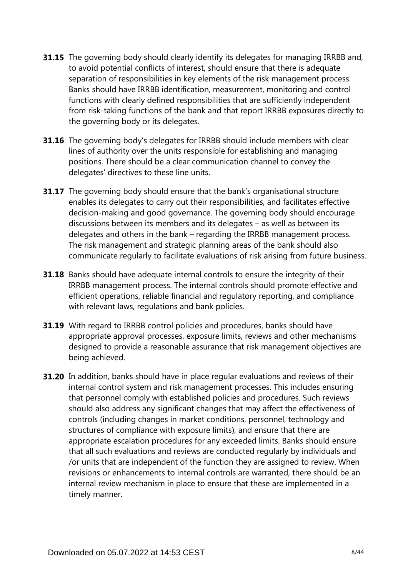- **31.15** The governing body should clearly identify its delegates for managing IRRBB and, to avoid potential conflicts of interest, should ensure that there is adequate separation of responsibilities in key elements of the risk management process. Banks should have IRRBB identification, measurement, monitoring and control functions with clearly defined responsibilities that are sufficiently independent from risk-taking functions of the bank and that report IRRBB exposures directly to the governing body or its delegates.
- **31.16** The governing body's delegates for IRRBB should include members with clear lines of authority over the units responsible for establishing and managing positions. There should be a clear communication channel to convey the delegates' directives to these line units.
- **31.17** The governing body should ensure that the bank's organisational structure enables its delegates to carry out their responsibilities, and facilitates effective decision-making and good governance. The governing body should encourage discussions between its members and its delegates – as well as between its delegates and others in the bank – regarding the IRRBB management process. The risk management and strategic planning areas of the bank should also communicate regularly to facilitate evaluations of risk arising from future business.
- **31.18** Banks should have adequate internal controls to ensure the integrity of their IRRBB management process. The internal controls should promote effective and efficient operations, reliable financial and regulatory reporting, and compliance with relevant laws, regulations and bank policies.
- **31.19** With regard to IRRBB control policies and procedures, banks should have appropriate approval processes, exposure limits, reviews and other mechanisms designed to provide a reasonable assurance that risk management objectives are being achieved.
- **31.20** In addition, banks should have in place regular evaluations and reviews of their internal control system and risk management processes. This includes ensuring that personnel comply with established policies and procedures. Such reviews should also address any significant changes that may affect the effectiveness of controls (including changes in market conditions, personnel, technology and structures of compliance with exposure limits), and ensure that there are appropriate escalation procedures for any exceeded limits. Banks should ensure that all such evaluations and reviews are conducted regularly by individuals and /or units that are independent of the function they are assigned to review. When revisions or enhancements to internal controls are warranted, there should be an internal review mechanism in place to ensure that these are implemented in a timely manner.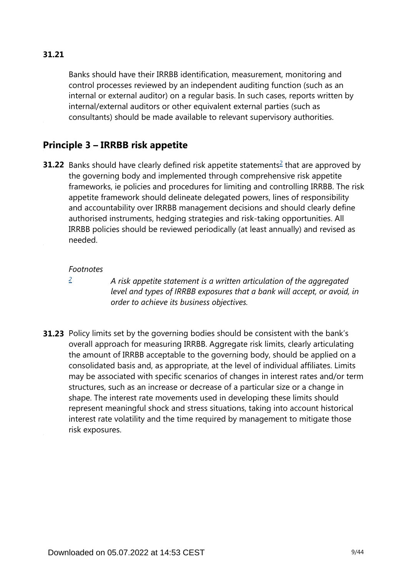## **31.21**

Banks should have their IRRBB identification, measurement, monitoring and control processes reviewed by an independent auditing function (such as an internal or external auditor) on a regular basis. In such cases, reports written by internal/external auditors or other equivalent external parties (such as consultants) should be made available to relevant supervisory authorities.

## **Principle 3 – IRRBB risk appetite**

<span id="page-8-1"></span>**31.[2](#page-8-0)2** Banks should have clearly defined risk appetite statements<sup>2</sup> that are approved by the governing body and implemented through comprehensive risk appetite frameworks, ie policies and procedures for limiting and controlling IRRBB. The risk appetite framework should delineate delegated powers, lines of responsibility and accountability over IRRBB management decisions and should clearly define authorised instruments, hedging strategies and risk-taking opportunities. All IRRBB policies should be reviewed periodically (at least annually) and revised as needed.

#### *Footnotes*

<span id="page-8-0"></span>*[2](#page-8-1)*

*A risk appetite statement is a written articulation of the aggregated level and types of IRRBB exposures that a bank will accept, or avoid, in order to achieve its business objectives.*

**31.23** Policy limits set by the governing bodies should be consistent with the bank's overall approach for measuring IRRBB. Aggregate risk limits, clearly articulating the amount of IRRBB acceptable to the governing body, should be applied on a consolidated basis and, as appropriate, at the level of individual affiliates. Limits may be associated with specific scenarios of changes in interest rates and/or term structures, such as an increase or decrease of a particular size or a change in shape. The interest rate movements used in developing these limits should represent meaningful shock and stress situations, taking into account historical interest rate volatility and the time required by management to mitigate those risk exposures.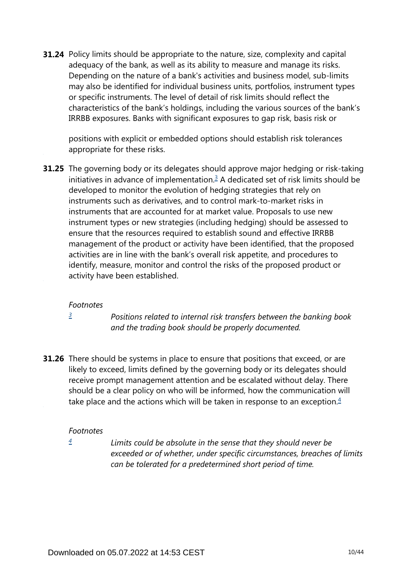**31.24** Policy limits should be appropriate to the nature, size, complexity and capital adequacy of the bank, as well as its ability to measure and manage its risks. Depending on the nature of a bank's activities and business model, sub-limits may also be identified for individual business units, portfolios, instrument types or specific instruments. The level of detail of risk limits should reflect the characteristics of the bank's holdings, including the various sources of the bank's IRRBB exposures. Banks with significant exposures to gap risk, basis risk or

positions with explicit or embedded options should establish risk tolerances appropriate for these risks.

<span id="page-9-1"></span>**31.25** The governing body or its delegates should approve major hedging or risk-taking initiatives in advance of implementation. $3$  A dedicated set of risk limits should be developed to monitor the evolution of hedging strategies that rely on instruments such as derivatives, and to control mark-to-market risks in instruments that are accounted for at market value. Proposals to use new instrument types or new strategies (including hedging) should be assessed to ensure that the resources required to establish sound and effective IRRBB management of the product or activity have been identified, that the proposed activities are in line with the bank's overall risk appetite, and procedures to identify, measure, monitor and control the risks of the proposed product or activity have been established.

#### *Footnotes*

*[3](#page-9-1)*

*Positions related to internal risk transfers between the banking book and the trading book should be properly documented.*

<span id="page-9-3"></span><span id="page-9-0"></span>**31.26** There should be systems in place to ensure that positions that exceed, or are likely to exceed, limits defined by the governing body or its delegates should receive prompt management attention and be escalated without delay. There should be a clear policy on who will be informed, how the communication will take place and the actions which will be taken in response to an exception. $4$ 

### *Footnotes*

<span id="page-9-2"></span>*[4](#page-9-3)*

*Limits could be absolute in the sense that they should never be exceeded or of whether, under specific circumstances, breaches of limits can be tolerated for a predetermined short period of time.*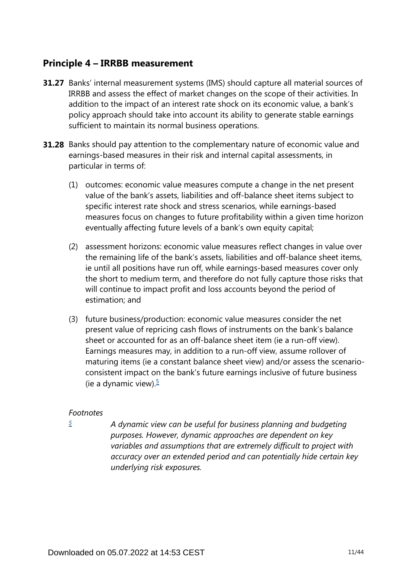## **Principle 4 – IRRBB measurement**

- **31.27** Banks' internal measurement systems (IMS) should capture all material sources of IRRBB and assess the effect of market changes on the scope of their activities. In addition to the impact of an interest rate shock on its economic value, a bank's policy approach should take into account its ability to generate stable earnings sufficient to maintain its normal business operations.
- **31.28** Banks should pay attention to the complementary nature of economic value and earnings-based measures in their risk and internal capital assessments, in particular in terms of:
	- (1) outcomes: economic value measures compute a change in the net present value of the bank's assets, liabilities and off-balance sheet items subject to specific interest rate shock and stress scenarios, while earnings-based measures focus on changes to future profitability within a given time horizon eventually affecting future levels of a bank's own equity capital;
	- (2) assessment horizons: economic value measures reflect changes in value over the remaining life of the bank's assets, liabilities and off-balance sheet items, ie until all positions have run off, while earnings-based measures cover only the short to medium term, and therefore do not fully capture those risks that will continue to impact profit and loss accounts beyond the period of estimation; and
	- (3) future business/production: economic value measures consider the net present value of repricing cash flows of instruments on the bank's balance sheet or accounted for as an off-balance sheet item (ie a run-off view). Earnings measures may, in addition to a run-off view, assume rollover of maturing items (ie a constant balance sheet view) and/or assess the scenarioconsistent impact on the bank's future earnings inclusive of future business (ie a dynamic view). $\frac{5}{7}$  $\frac{5}{7}$  $\frac{5}{7}$

### <span id="page-10-1"></span>*Footnotes*

<span id="page-10-0"></span>*[5](#page-10-1)*

*A dynamic view can be useful for business planning and budgeting purposes. However, dynamic approaches are dependent on key variables and assumptions that are extremely difficult to project with accuracy over an extended period and can potentially hide certain key underlying risk exposures.*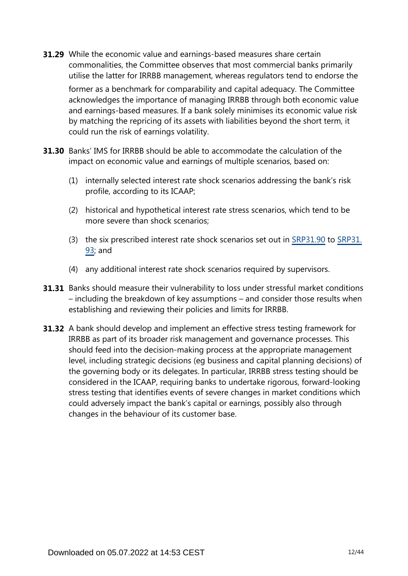- While the economic value and earnings-based measures share certain **31.29** commonalities, the Committee observes that most commercial banks primarily utilise the latter for IRRBB management, whereas regulators tend to endorse the former as a benchmark for comparability and capital adequacy. The Committee acknowledges the importance of managing IRRBB through both economic value and earnings-based measures. If a bank solely minimises its economic value risk by matching the repricing of its assets with liabilities beyond the short term, it could run the risk of earnings volatility.
- **31.30** Banks' IMS for IRRBB should be able to accommodate the calculation of the impact on economic value and earnings of multiple scenarios, based on:
	- (1) internally selected interest rate shock scenarios addressing the bank's risk profile, according to its ICAAP;
	- (2) historical and hypothetical interest rate stress scenarios, which tend to be more severe than shock scenarios;
	- (3) the six prescribed interest rate shock scenarios set out in [SRP31.90](https://www.bis.org/basel_framework/chapter/SRP/31.htm?tldate=20281012&inforce=20191215&published=20191215#paragraph_SRP_31_20191215_31_90) to [SRP31.](https://www.bis.org/basel_framework/chapter/SRP/31.htm?tldate=20281012&inforce=20191215&published=20191215#paragraph_SRP_31_20191215_31_93) [93;](https://www.bis.org/basel_framework/chapter/SRP/31.htm?tldate=20281012&inforce=20191215&published=20191215#paragraph_SRP_31_20191215_31_93) and
	- (4) any additional interest rate shock scenarios required by supervisors.
- **31.31** Banks should measure their vulnerability to loss under stressful market conditions – including the breakdown of key assumptions – and consider those results when establishing and reviewing their policies and limits for IRRBB.
- **31.32** A bank should develop and implement an effective stress testing framework for IRRBB as part of its broader risk management and governance processes. This should feed into the decision-making process at the appropriate management level, including strategic decisions (eg business and capital planning decisions) of the governing body or its delegates. In particular, IRRBB stress testing should be considered in the ICAAP, requiring banks to undertake rigorous, forward-looking stress testing that identifies events of severe changes in market conditions which could adversely impact the bank's capital or earnings, possibly also through changes in the behaviour of its customer base.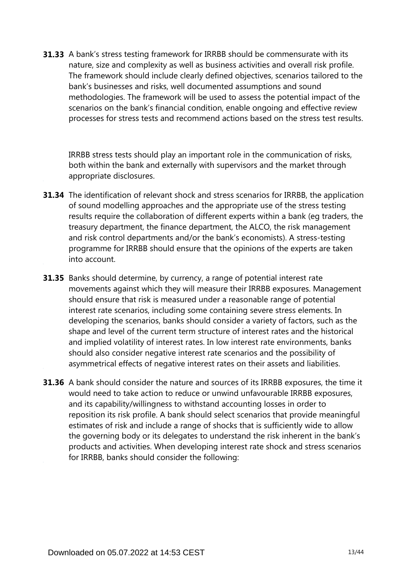**31.33** A bank's stress testing framework for IRRBB should be commensurate with its nature, size and complexity as well as business activities and overall risk profile. The framework should include clearly defined objectives, scenarios tailored to the bank's businesses and risks, well documented assumptions and sound methodologies. The framework will be used to assess the potential impact of the scenarios on the bank's financial condition, enable ongoing and effective review processes for stress tests and recommend actions based on the stress test results.

IRRBB stress tests should play an important role in the communication of risks, both within the bank and externally with supervisors and the market through appropriate disclosures.

- **31.34** The identification of relevant shock and stress scenarios for IRRBB, the application of sound modelling approaches and the appropriate use of the stress testing results require the collaboration of different experts within a bank (eg traders, the treasury department, the finance department, the ALCO, the risk management and risk control departments and/or the bank's economists). A stress-testing programme for IRRBB should ensure that the opinions of the experts are taken into account.
- **31.35** Banks should determine, by currency, a range of potential interest rate movements against which they will measure their IRRBB exposures. Management should ensure that risk is measured under a reasonable range of potential interest rate scenarios, including some containing severe stress elements. In developing the scenarios, banks should consider a variety of factors, such as the shape and level of the current term structure of interest rates and the historical and implied volatility of interest rates. In low interest rate environments, banks should also consider negative interest rate scenarios and the possibility of asymmetrical effects of negative interest rates on their assets and liabilities.
- **31.36** A bank should consider the nature and sources of its IRRBB exposures, the time it would need to take action to reduce or unwind unfavourable IRRBB exposures, and its capability/willingness to withstand accounting losses in order to reposition its risk profile. A bank should select scenarios that provide meaningful estimates of risk and include a range of shocks that is sufficiently wide to allow the governing body or its delegates to understand the risk inherent in the bank's products and activities. When developing interest rate shock and stress scenarios for IRRBB, banks should consider the following: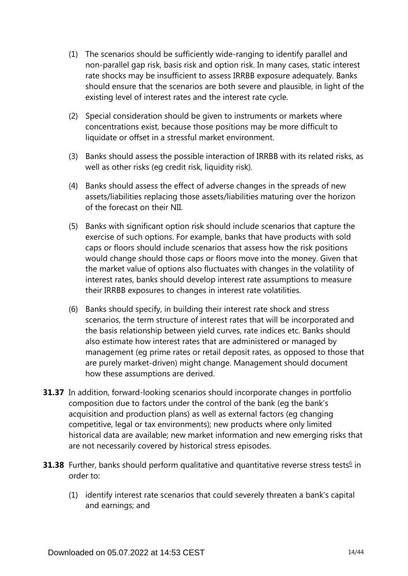- (1) The scenarios should be sufficiently wide-ranging to identify parallel and non-parallel gap risk, basis risk and option risk. In many cases, static interest rate shocks may be insufficient to assess IRRBB exposure adequately. Banks should ensure that the scenarios are both severe and plausible, in light of the existing level of interest rates and the interest rate cycle.
- (2) Special consideration should be given to instruments or markets where concentrations exist, because those positions may be more difficult to liquidate or offset in a stressful market environment.
- (3) Banks should assess the possible interaction of IRRBB with its related risks, as well as other risks (eg credit risk, liquidity risk).
- (4) Banks should assess the effect of adverse changes in the spreads of new assets/liabilities replacing those assets/liabilities maturing over the horizon of the forecast on their NII.
- (5) Banks with significant option risk should include scenarios that capture the exercise of such options. For example, banks that have products with sold caps or floors should include scenarios that assess how the risk positions would change should those caps or floors move into the money. Given that the market value of options also fluctuates with changes in the volatility of interest rates, banks should develop interest rate assumptions to measure their IRRBB exposures to changes in interest rate volatilities.
- (6) Banks should specify, in building their interest rate shock and stress scenarios, the term structure of interest rates that will be incorporated and the basis relationship between yield curves, rate indices etc. Banks should also estimate how interest rates that are administered or managed by management (eg prime rates or retail deposit rates, as opposed to those that are purely market-driven) might change. Management should document how these assumptions are derived.
- **31.37** In addition, forward-looking scenarios should incorporate changes in portfolio composition due to factors under the control of the bank (eg the bank's acquisition and production plans) as well as external factors (eg changing competitive, legal or tax environments); new products where only limited historical data are available; new market information and new emerging risks that are not necessarily covered by historical stress episodes.
- <span id="page-13-0"></span>**31.38** Further, banks should perform qualitative and quantitative reverse stress tests<sup>[6](#page-14-0)</sup> in order to:
	- (1) identify interest rate scenarios that could severely threaten a bank's capital and earnings; and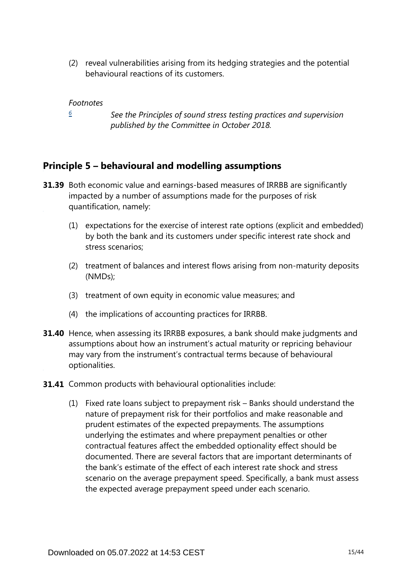(2) reveal vulnerabilities arising from its hedging strategies and the potential behavioural reactions of its customers.

#### *Footnotes*

*[6](#page-13-0)*

*See the Principles of sound stress testing practices and supervision published by the Committee in October 2018.*

## <span id="page-14-0"></span>**Principle 5 – behavioural and modelling assumptions**

- **31.39** Both economic value and earnings-based measures of IRRBB are significantly impacted by a number of assumptions made for the purposes of risk quantification, namely:
	- (1) expectations for the exercise of interest rate options (explicit and embedded) by both the bank and its customers under specific interest rate shock and stress scenarios;
	- (2) treatment of balances and interest flows arising from non-maturity deposits (NMDs);
	- (3) treatment of own equity in economic value measures; and
	- (4) the implications of accounting practices for IRRBB.
- **31.40** Hence, when assessing its IRRBB exposures, a bank should make judgments and assumptions about how an instrument's actual maturity or repricing behaviour may vary from the instrument's contractual terms because of behavioural optionalities.
- **31.41** Common products with behavioural optionalities include:
	- (1) Fixed rate loans subject to prepayment risk Banks should understand the nature of prepayment risk for their portfolios and make reasonable and prudent estimates of the expected prepayments. The assumptions underlying the estimates and where prepayment penalties or other contractual features affect the embedded optionality effect should be documented. There are several factors that are important determinants of the bank's estimate of the effect of each interest rate shock and stress scenario on the average prepayment speed. Specifically, a bank must assess the expected average prepayment speed under each scenario.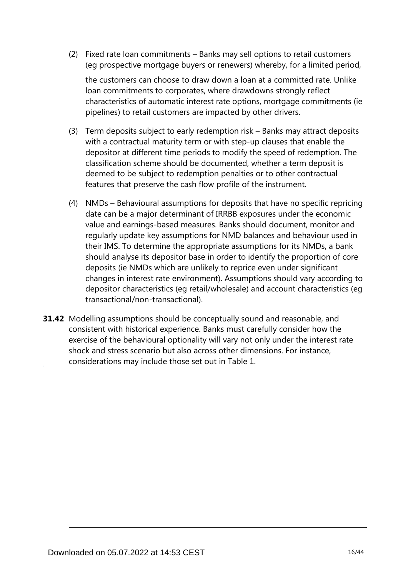(2) Fixed rate loan commitments – Banks may sell options to retail customers (eg prospective mortgage buyers or renewers) whereby, for a limited period,

the customers can choose to draw down a loan at a committed rate. Unlike loan commitments to corporates, where drawdowns strongly reflect characteristics of automatic interest rate options, mortgage commitments (ie pipelines) to retail customers are impacted by other drivers.

- (3) Term deposits subject to early redemption risk Banks may attract deposits with a contractual maturity term or with step-up clauses that enable the depositor at different time periods to modify the speed of redemption. The classification scheme should be documented, whether a term deposit is deemed to be subject to redemption penalties or to other contractual features that preserve the cash flow profile of the instrument.
- (4) NMDs Behavioural assumptions for deposits that have no specific repricing date can be a major determinant of IRRBB exposures under the economic value and earnings-based measures. Banks should document, monitor and regularly update key assumptions for NMD balances and behaviour used in their IMS. To determine the appropriate assumptions for its NMDs, a bank should analyse its depositor base in order to identify the proportion of core deposits (ie NMDs which are unlikely to reprice even under significant changes in interest rate environment). Assumptions should vary according to depositor characteristics (eg retail/wholesale) and account characteristics (eg transactional/non-transactional).
- **31.42** Modelling assumptions should be conceptually sound and reasonable, and consistent with historical experience. Banks must carefully consider how the exercise of the behavioural optionality will vary not only under the interest rate shock and stress scenario but also across other dimensions. For instance, considerations may include those set out in Table 1.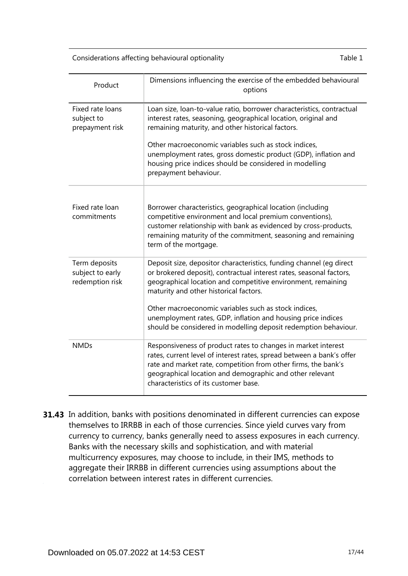Considerations affecting behavioural optionality Table 1

| Product                                              | Dimensions influencing the exercise of the embedded behavioural<br>options                                                                                                                                                                                                                                                                                                                                                                      |
|------------------------------------------------------|-------------------------------------------------------------------------------------------------------------------------------------------------------------------------------------------------------------------------------------------------------------------------------------------------------------------------------------------------------------------------------------------------------------------------------------------------|
| Fixed rate loans<br>subject to<br>prepayment risk    | Loan size, loan-to-value ratio, borrower characteristics, contractual<br>interest rates, seasoning, geographical location, original and<br>remaining maturity, and other historical factors.<br>Other macroeconomic variables such as stock indices,<br>unemployment rates, gross domestic product (GDP), inflation and<br>housing price indices should be considered in modelling<br>prepayment behaviour.                                     |
| Fixed rate loan<br>commitments                       | Borrower characteristics, geographical location (including<br>competitive environment and local premium conventions),<br>customer relationship with bank as evidenced by cross-products,<br>remaining maturity of the commitment, seasoning and remaining<br>term of the mortgage.                                                                                                                                                              |
| Term deposits<br>subject to early<br>redemption risk | Deposit size, depositor characteristics, funding channel (eg direct<br>or brokered deposit), contractual interest rates, seasonal factors,<br>geographical location and competitive environment, remaining<br>maturity and other historical factors.<br>Other macroeconomic variables such as stock indices,<br>unemployment rates, GDP, inflation and housing price indices<br>should be considered in modelling deposit redemption behaviour. |
| <b>NMDs</b>                                          | Responsiveness of product rates to changes in market interest<br>rates, current level of interest rates, spread between a bank's offer<br>rate and market rate, competition from other firms, the bank's<br>geographical location and demographic and other relevant<br>characteristics of its customer base.                                                                                                                                   |

**31.43** In addition, banks with positions denominated in different currencies can expose themselves to IRRBB in each of those currencies. Since yield curves vary from currency to currency, banks generally need to assess exposures in each currency. Banks with the necessary skills and sophistication, and with material multicurrency exposures, may choose to include, in their IMS, methods to aggregate their IRRBB in different currencies using assumptions about the correlation between interest rates in different currencies.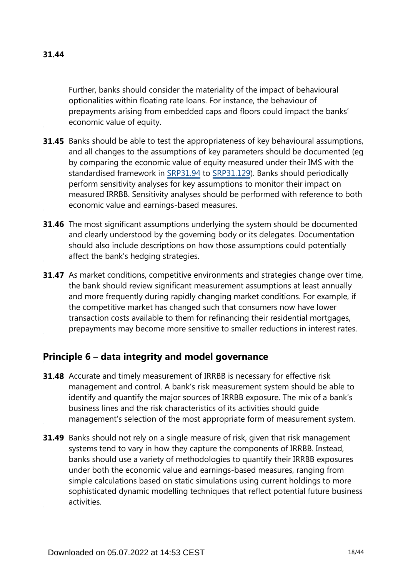Further, banks should consider the materiality of the impact of behavioural optionalities within floating rate loans. For instance, the behaviour of prepayments arising from embedded caps and floors could impact the banks' economic value of equity.

- **31.45** Banks should be able to test the appropriateness of key behavioural assumptions, and all changes to the assumptions of key parameters should be documented (eg by comparing the economic value of equity measured under their IMS with the standardised framework in [SRP31.94](https://www.bis.org/basel_framework/chapter/SRP/31.htm?tldate=20281012&inforce=20191215&published=20191215#paragraph_SRP_31_20191215_31_94) to [SRP31.129](https://www.bis.org/basel_framework/chapter/SRP/31.htm?tldate=20281012&inforce=20191215&published=20191215#paragraph_SRP_31_20191215_31_129)). Banks should periodically perform sensitivity analyses for key assumptions to monitor their impact on measured IRRBB. Sensitivity analyses should be performed with reference to both economic value and earnings-based measures.
- **31.46** The most significant assumptions underlying the system should be documented and clearly understood by the governing body or its delegates. Documentation should also include descriptions on how those assumptions could potentially affect the bank's hedging strategies.
- **31.47** As market conditions, competitive environments and strategies change over time, the bank should review significant measurement assumptions at least annually and more frequently during rapidly changing market conditions. For example, if the competitive market has changed such that consumers now have lower transaction costs available to them for refinancing their residential mortgages, prepayments may become more sensitive to smaller reductions in interest rates.

## **Principle 6 – data integrity and model governance**

- **31.48** Accurate and timely measurement of IRRBB is necessary for effective risk management and control. A bank's risk measurement system should be able to identify and quantify the major sources of IRRBB exposure. The mix of a bank's business lines and the risk characteristics of its activities should guide management's selection of the most appropriate form of measurement system.
- **31.49** Banks should not rely on a single measure of risk, given that risk management systems tend to vary in how they capture the components of IRRBB. Instead, banks should use a variety of methodologies to quantify their IRRBB exposures under both the economic value and earnings-based measures, ranging from simple calculations based on static simulations using current holdings to more sophisticated dynamic modelling techniques that reflect potential future business activities.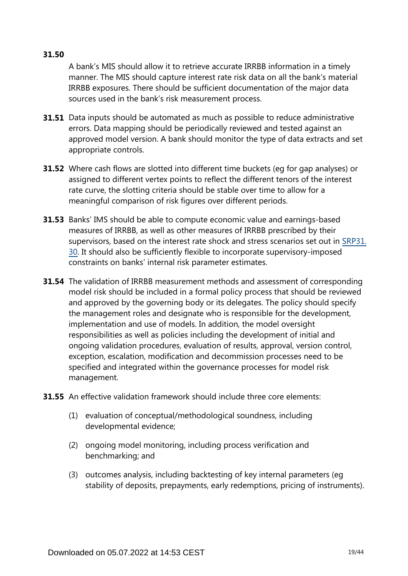## **31.50**

A bank's MIS should allow it to retrieve accurate IRRBB information in a timely manner. The MIS should capture interest rate risk data on all the bank's material IRRBB exposures. There should be sufficient documentation of the major data sources used in the bank's risk measurement process.

- **31.51** Data inputs should be automated as much as possible to reduce administrative errors. Data mapping should be periodically reviewed and tested against an approved model version. A bank should monitor the type of data extracts and set appropriate controls.
- Where cash flows are slotted into different time buckets (eg for gap analyses) or **31.52** assigned to different vertex points to reflect the different tenors of the interest rate curve, the slotting criteria should be stable over time to allow for a meaningful comparison of risk figures over different periods.
- **31.53** Banks' IMS should be able to compute economic value and earnings-based measures of IRRBB, as well as other measures of IRRBB prescribed by their supervisors, based on the interest rate shock and stress scenarios set out in [SRP31.](https://www.bis.org/basel_framework/chapter/SRP/31.htm?tldate=20281012&inforce=20191215&published=20191215#paragraph_SRP_31_20191215_31_30) [30](https://www.bis.org/basel_framework/chapter/SRP/31.htm?tldate=20281012&inforce=20191215&published=20191215#paragraph_SRP_31_20191215_31_30). It should also be sufficiently flexible to incorporate supervisory-imposed constraints on banks' internal risk parameter estimates.
- **31.54** The validation of IRRBB measurement methods and assessment of corresponding model risk should be included in a formal policy process that should be reviewed and approved by the governing body or its delegates. The policy should specify the management roles and designate who is responsible for the development, implementation and use of models. In addition, the model oversight responsibilities as well as policies including the development of initial and ongoing validation procedures, evaluation of results, approval, version control, exception, escalation, modification and decommission processes need to be specified and integrated within the governance processes for model risk management.
- **31.55** An effective validation framework should include three core elements:
	- (1) evaluation of conceptual/methodological soundness, including developmental evidence;
	- (2) ongoing model monitoring, including process verification and benchmarking; and
	- (3) outcomes analysis, including backtesting of key internal parameters (eg stability of deposits, prepayments, early redemptions, pricing of instruments).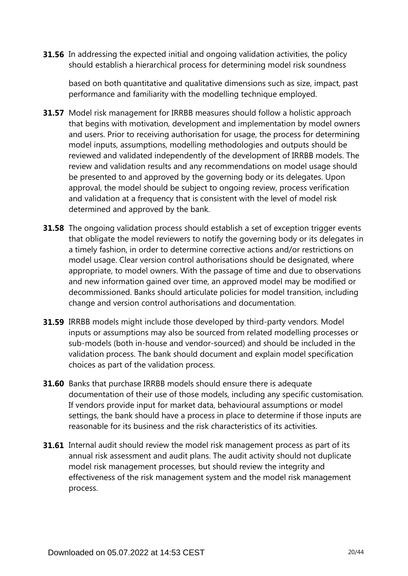**31.56** In addressing the expected initial and ongoing validation activities, the policy should establish a hierarchical process for determining model risk soundness

based on both quantitative and qualitative dimensions such as size, impact, past performance and familiarity with the modelling technique employed.

- **31.57** Model risk management for IRRBB measures should follow a holistic approach that begins with motivation, development and implementation by model owners and users. Prior to receiving authorisation for usage, the process for determining model inputs, assumptions, modelling methodologies and outputs should be reviewed and validated independently of the development of IRRBB models. The review and validation results and any recommendations on model usage should be presented to and approved by the governing body or its delegates. Upon approval, the model should be subject to ongoing review, process verification and validation at a frequency that is consistent with the level of model risk determined and approved by the bank.
- **31.58** The ongoing validation process should establish a set of exception trigger events that obligate the model reviewers to notify the governing body or its delegates in a timely fashion, in order to determine corrective actions and/or restrictions on model usage. Clear version control authorisations should be designated, where appropriate, to model owners. With the passage of time and due to observations and new information gained over time, an approved model may be modified or decommissioned. Banks should articulate policies for model transition, including change and version control authorisations and documentation.
- **31.59** IRRBB models might include those developed by third-party vendors. Model inputs or assumptions may also be sourced from related modelling processes or sub-models (both in-house and vendor-sourced) and should be included in the validation process. The bank should document and explain model specification choices as part of the validation process.
- **31.60** Banks that purchase IRRBB models should ensure there is adequate documentation of their use of those models, including any specific customisation. If vendors provide input for market data, behavioural assumptions or model settings, the bank should have a process in place to determine if those inputs are reasonable for its business and the risk characteristics of its activities.
- **31.61** Internal audit should review the model risk management process as part of its annual risk assessment and audit plans. The audit activity should not duplicate model risk management processes, but should review the integrity and effectiveness of the risk management system and the model risk management process.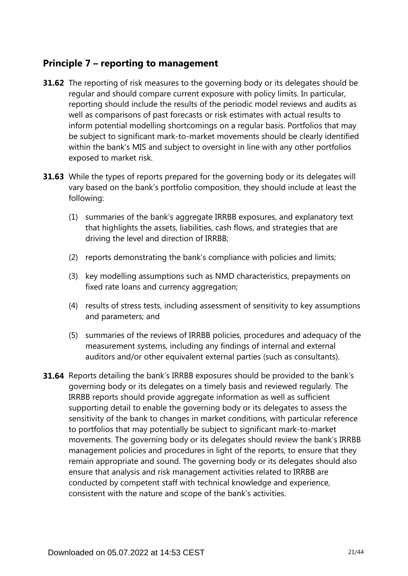## **Principle 7 – reporting to management**

- **31.62** The reporting of risk measures to the governing body or its delegates should be regular and should compare current exposure with policy limits. In particular, reporting should include the results of the periodic model reviews and audits as well as comparisons of past forecasts or risk estimates with actual results to inform potential modelling shortcomings on a regular basis. Portfolios that may be subject to significant mark-to-market movements should be clearly identified within the bank's MIS and subject to oversight in line with any other portfolios exposed to market risk.
- **31.63** While the types of reports prepared for the governing body or its delegates will vary based on the bank's portfolio composition, they should include at least the following:
	- (1) summaries of the bank's aggregate IRRBB exposures, and explanatory text that highlights the assets, liabilities, cash flows, and strategies that are driving the level and direction of IRRBB;
	- (2) reports demonstrating the bank's compliance with policies and limits;
	- (3) key modelling assumptions such as NMD characteristics, prepayments on fixed rate loans and currency aggregation;
	- (4) results of stress tests, including assessment of sensitivity to key assumptions and parameters; and
	- (5) summaries of the reviews of IRRBB policies, procedures and adequacy of the measurement systems, including any findings of internal and external auditors and/or other equivalent external parties (such as consultants).
- **31.64** Reports detailing the bank's IRRBB exposures should be provided to the bank's governing body or its delegates on a timely basis and reviewed regularly. The IRRBB reports should provide aggregate information as well as sufficient supporting detail to enable the governing body or its delegates to assess the sensitivity of the bank to changes in market conditions, with particular reference to portfolios that may potentially be subject to significant mark-to-market movements. The governing body or its delegates should review the bank's IRRBB management policies and procedures in light of the reports, to ensure that they remain appropriate and sound. The governing body or its delegates should also ensure that analysis and risk management activities related to IRRBB are conducted by competent staff with technical knowledge and experience, consistent with the nature and scope of the bank's activities.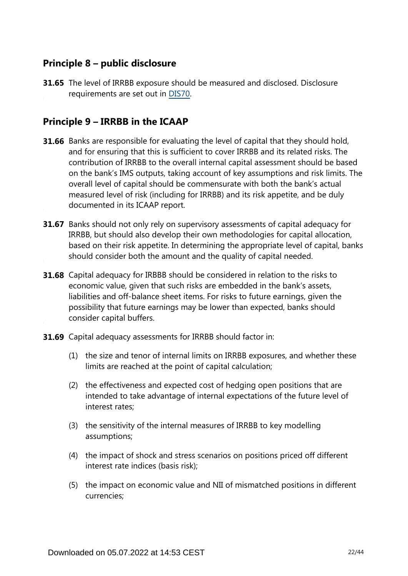## **Principle 8 – public disclosure**

**31.65** The level of IRRBB exposure should be measured and disclosed. Disclosure requirements are set out in [DIS70](https://www.bis.org/basel_framework/chapter/DIS/70.htm?tldate=20281012&inforce=20191215&published=20191215).

## **Principle 9 – IRRBB in the ICAAP**

- **31.66** Banks are responsible for evaluating the level of capital that they should hold, and for ensuring that this is sufficient to cover IRRBB and its related risks. The contribution of IRRBB to the overall internal capital assessment should be based on the bank's IMS outputs, taking account of key assumptions and risk limits. The overall level of capital should be commensurate with both the bank's actual measured level of risk (including for IRRBB) and its risk appetite, and be duly documented in its ICAAP report.
- **31.67** Banks should not only rely on supervisory assessments of capital adequacy for IRRBB, but should also develop their own methodologies for capital allocation, based on their risk appetite. In determining the appropriate level of capital, banks should consider both the amount and the quality of capital needed.
- **31.68** Capital adequacy for IRBBB should be considered in relation to the risks to economic value, given that such risks are embedded in the bank's assets, liabilities and off-balance sheet items. For risks to future earnings, given the possibility that future earnings may be lower than expected, banks should consider capital buffers.
- **31.69** Capital adequacy assessments for IRRBB should factor in:
	- (1) the size and tenor of internal limits on IRRBB exposures, and whether these limits are reached at the point of capital calculation;
	- (2) the effectiveness and expected cost of hedging open positions that are intended to take advantage of internal expectations of the future level of interest rates;
	- (3) the sensitivity of the internal measures of IRRBB to key modelling assumptions;
	- (4) the impact of shock and stress scenarios on positions priced off different interest rate indices (basis risk);
	- (5) the impact on economic value and NII of mismatched positions in different currencies;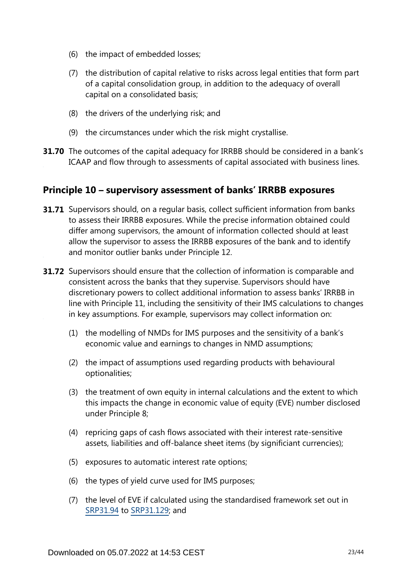- (6) the impact of embedded losses;
- (7) the distribution of capital relative to risks across legal entities that form part of a capital consolidation group, in addition to the adequacy of overall capital on a consolidated basis;
- (8) the drivers of the underlying risk; and
- (9) the circumstances under which the risk might crystallise.
- **31.70** The outcomes of the capital adequacy for IRRBB should be considered in a bank's ICAAP and flow through to assessments of capital associated with business lines.

## **Principle 10 – supervisory assessment of banks' IRRBB exposures**

- **31.71** Supervisors should, on a regular basis, collect sufficient information from banks to assess their IRRBB exposures. While the precise information obtained could differ among supervisors, the amount of information collected should at least allow the supervisor to assess the IRRBB exposures of the bank and to identify and monitor outlier banks under Principle 12.
- **31.72** Supervisors should ensure that the collection of information is comparable and consistent across the banks that they supervise. Supervisors should have discretionary powers to collect additional information to assess banks' IRRBB in line with Principle 11, including the sensitivity of their IMS calculations to changes in key assumptions. For example, supervisors may collect information on:
	- (1) the modelling of NMDs for IMS purposes and the sensitivity of a bank's economic value and earnings to changes in NMD assumptions;
	- (2) the impact of assumptions used regarding products with behavioural optionalities;
	- (3) the treatment of own equity in internal calculations and the extent to which this impacts the change in economic value of equity (EVE) number disclosed under Principle 8;
	- (4) repricing gaps of cash flows associated with their interest rate-sensitive assets, liabilities and off-balance sheet items (by significiant currencies);
	- (5) exposures to automatic interest rate options;
	- (6) the types of yield curve used for IMS purposes;
	- (7) the level of EVE if calculated using the standardised framework set out in [SRP31.94](https://www.bis.org/basel_framework/chapter/SRP/31.htm?tldate=20281012&inforce=20191215&published=20191215#paragraph_SRP_31_20191215_31_94) to [SRP31.129](https://www.bis.org/basel_framework/chapter/SRP/31.htm?tldate=20281012&inforce=20191215&published=20191215#paragraph_SRP_31_20191215_31_129); and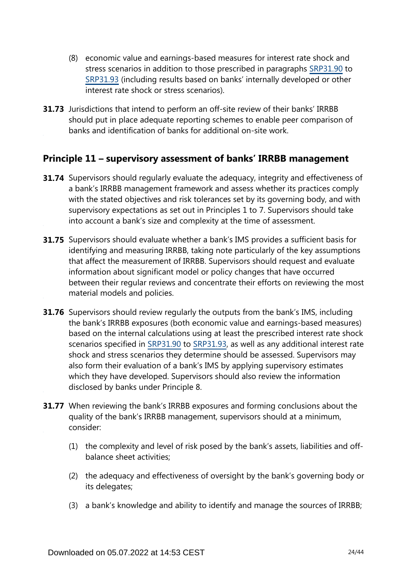- (8) economic value and earnings-based measures for interest rate shock and stress scenarios in addition to those prescribed in paragraphs [SRP31.90](https://www.bis.org/basel_framework/chapter/SRP/31.htm?tldate=20281012&inforce=20191215&published=20191215#paragraph_SRP_31_20191215_31_90) to [SRP31.93](https://www.bis.org/basel_framework/chapter/SRP/31.htm?tldate=20281012&inforce=20191215&published=20191215#paragraph_SRP_31_20191215_31_93) (including results based on banks' internally developed or other interest rate shock or stress scenarios).
- **31.73** Jurisdictions that intend to perform an off-site review of their banks' IRRBB should put in place adequate reporting schemes to enable peer comparison of banks and identification of banks for additional on-site work.

## **Principle 11 – supervisory assessment of banks' IRRBB management**

- **31.74** Supervisors should regularly evaluate the adequacy, integrity and effectiveness of a bank's IRRBB management framework and assess whether its practices comply with the stated objectives and risk tolerances set by its governing body, and with supervisory expectations as set out in Principles 1 to 7. Supervisors should take into account a bank's size and complexity at the time of assessment.
- **31.75** Supervisors should evaluate whether a bank's IMS provides a sufficient basis for identifying and measuring IRRBB, taking note particularly of the key assumptions that affect the measurement of IRRBB. Supervisors should request and evaluate information about significant model or policy changes that have occurred between their regular reviews and concentrate their efforts on reviewing the most material models and policies.
- **31.76** Supervisors should review regularly the outputs from the bank's IMS, including the bank's IRRBB exposures (both economic value and earnings-based measures) based on the internal calculations using at least the prescribed interest rate shock scenarios specified in [SRP31.90](https://www.bis.org/basel_framework/chapter/SRP/31.htm?tldate=20281012&inforce=20191215&published=20191215#paragraph_SRP_31_20191215_31_90) to [SRP31.93,](https://www.bis.org/basel_framework/chapter/SRP/31.htm?tldate=20281012&inforce=20191215&published=20191215#paragraph_SRP_31_20191215_31_93) as well as any additional interest rate shock and stress scenarios they determine should be assessed. Supervisors may also form their evaluation of a bank's IMS by applying supervisory estimates which they have developed. Supervisors should also review the information disclosed by banks under Principle 8.
- **31.77** When reviewing the bank's IRRBB exposures and forming conclusions about the quality of the bank's IRRBB management, supervisors should at a minimum, consider:
	- (1) the complexity and level of risk posed by the bank's assets, liabilities and offbalance sheet activities;
	- (2) the adequacy and effectiveness of oversight by the bank's governing body or its delegates;
	- (3) a bank's knowledge and ability to identify and manage the sources of IRRBB;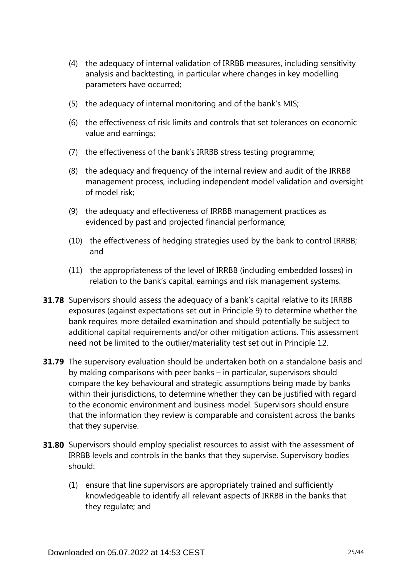- (4) the adequacy of internal validation of IRRBB measures, including sensitivity analysis and backtesting, in particular where changes in key modelling parameters have occurred;
- (5) the adequacy of internal monitoring and of the bank's MIS;
- (6) the effectiveness of risk limits and controls that set tolerances on economic value and earnings;
- (7) the effectiveness of the bank's IRRBB stress testing programme;
- (8) the adequacy and frequency of the internal review and audit of the IRRBB management process, including independent model validation and oversight of model risk;
- (9) the adequacy and effectiveness of IRRBB management practices as evidenced by past and projected financial performance;
- (10) the effectiveness of hedging strategies used by the bank to control IRRBB; and
- (11) the appropriateness of the level of IRRBB (including embedded losses) in relation to the bank's capital, earnings and risk management systems.
- **31.78** Supervisors should assess the adequacy of a bank's capital relative to its IRRBB exposures (against expectations set out in Principle 9) to determine whether the bank requires more detailed examination and should potentially be subject to additional capital requirements and/or other mitigation actions. This assessment need not be limited to the outlier/materiality test set out in Principle 12.
- **31.79** The supervisory evaluation should be undertaken both on a standalone basis and by making comparisons with peer banks – in particular, supervisors should compare the key behavioural and strategic assumptions being made by banks within their jurisdictions, to determine whether they can be justified with regard to the economic environment and business model. Supervisors should ensure that the information they review is comparable and consistent across the banks that they supervise.
- **31.80** Supervisors should employ specialist resources to assist with the assessment of IRRBB levels and controls in the banks that they supervise. Supervisory bodies should:
	- (1) ensure that line supervisors are appropriately trained and sufficiently knowledgeable to identify all relevant aspects of IRRBB in the banks that they regulate; and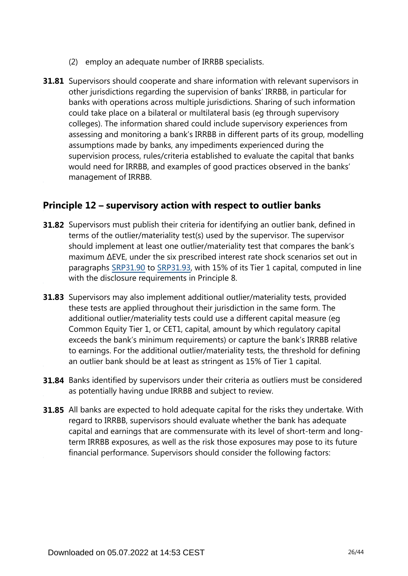- (2) employ an adequate number of IRRBB specialists.
- **31.81** Supervisors should cooperate and share information with relevant supervisors in other jurisdictions regarding the supervision of banks' IRRBB, in particular for banks with operations across multiple jurisdictions. Sharing of such information could take place on a bilateral or multilateral basis (eg through supervisory colleges). The information shared could include supervisory experiences from assessing and monitoring a bank's IRRBB in different parts of its group, modelling assumptions made by banks, any impediments experienced during the supervision process, rules/criteria established to evaluate the capital that banks would need for IRRBB, and examples of good practices observed in the banks' management of IRRBB.

## **Principle 12 – supervisory action with respect to outlier banks**

- **31.82** Supervisors must publish their criteria for identifying an outlier bank, defined in terms of the outlier/materiality test(s) used by the supervisor. The supervisor should implement at least one outlier/materiality test that compares the bank's maximum ∆EVE, under the six prescribed interest rate shock scenarios set out in paragraphs [SRP31.90](https://www.bis.org/basel_framework/chapter/SRP/31.htm?tldate=20281012&inforce=20191215&published=20191215#paragraph_SRP_31_20191215_31_90) to [SRP31.93](https://www.bis.org/basel_framework/chapter/SRP/31.htm?tldate=20281012&inforce=20191215&published=20191215#paragraph_SRP_31_20191215_31_93), with 15% of its Tier 1 capital, computed in line with the disclosure requirements in Principle 8.
- **31.83** Supervisors may also implement additional outlier/materiality tests, provided these tests are applied throughout their jurisdiction in the same form. The additional outlier/materiality tests could use a different capital measure (eg Common Equity Tier 1, or CET1, capital, amount by which regulatory capital exceeds the bank's minimum requirements) or capture the bank's IRRBB relative to earnings. For the additional outlier/materiality tests, the threshold for defining an outlier bank should be at least as stringent as 15% of Tier 1 capital.
- **31.84** Banks identified by supervisors under their criteria as outliers must be considered as potentially having undue IRRBB and subject to review.
- **31.85** All banks are expected to hold adequate capital for the risks they undertake. With regard to IRRBB, supervisors should evaluate whether the bank has adequate capital and earnings that are commensurate with its level of short-term and longterm IRRBB exposures, as well as the risk those exposures may pose to its future financial performance. Supervisors should consider the following factors: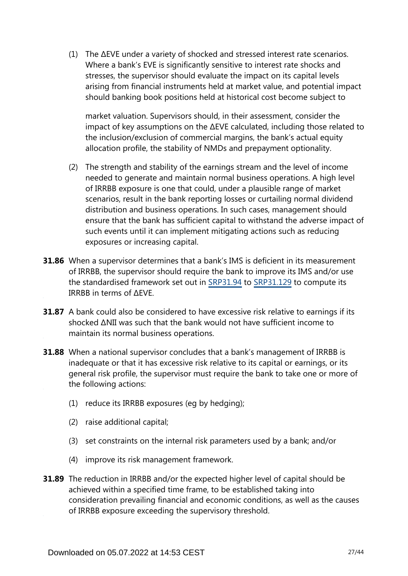(1) The ∆EVE under a variety of shocked and stressed interest rate scenarios. Where a bank's EVE is significantly sensitive to interest rate shocks and stresses, the supervisor should evaluate the impact on its capital levels arising from financial instruments held at market value, and potential impact should banking book positions held at historical cost become subject to

market valuation. Supervisors should, in their assessment, consider the impact of key assumptions on the ∆EVE calculated, including those related to the inclusion/exclusion of commercial margins, the bank's actual equity allocation profile, the stability of NMDs and prepayment optionality.

- (2) The strength and stability of the earnings stream and the level of income needed to generate and maintain normal business operations. A high level of IRRBB exposure is one that could, under a plausible range of market scenarios, result in the bank reporting losses or curtailing normal dividend distribution and business operations. In such cases, management should ensure that the bank has sufficient capital to withstand the adverse impact of such events until it can implement mitigating actions such as reducing exposures or increasing capital.
- **31.86** When a supervisor determines that a bank's IMS is deficient in its measurement of IRRBB, the supervisor should require the bank to improve its IMS and/or use the standardised framework set out in [SRP31.94](https://www.bis.org/basel_framework/chapter/SRP/31.htm?tldate=20281012&inforce=20191215&published=20191215#paragraph_SRP_31_20191215_31_94) to [SRP31.129](https://www.bis.org/basel_framework/chapter/SRP/31.htm?tldate=20281012&inforce=20191215&published=20191215#paragraph_SRP_31_20191215_31_129) to compute its IRRBB in terms of ∆EVE.
- **31.87** A bank could also be considered to have excessive risk relative to earnings if its shocked ΔNII was such that the bank would not have sufficient income to maintain its normal business operations.
- When a national supervisor concludes that a bank's management of IRRBB is **31.88** inadequate or that it has excessive risk relative to its capital or earnings, or its general risk profile, the supervisor must require the bank to take one or more of the following actions:
	- (1) reduce its IRRBB exposures (eg by hedging);
	- (2) raise additional capital;
	- (3) set constraints on the internal risk parameters used by a bank; and/or
	- (4) improve its risk management framework.
- **31.89** The reduction in IRRBB and/or the expected higher level of capital should be achieved within a specified time frame, to be established taking into consideration prevailing financial and economic conditions, as well as the causes of IRRBB exposure exceeding the supervisory threshold.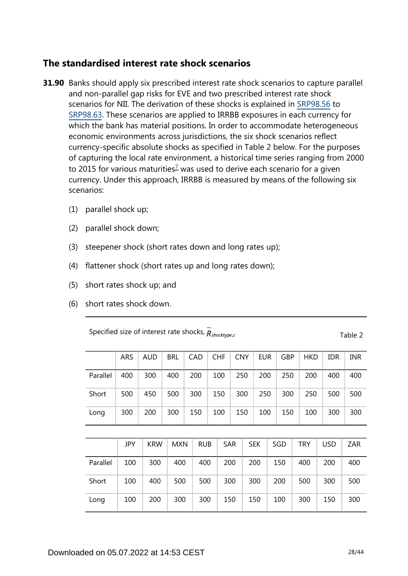## **The standardised interest rate shock scenarios**

- <span id="page-27-0"></span>**31.90** Banks should apply six prescribed interest rate shock scenarios to capture parallel and non-parallel gap risks for EVE and two prescribed interest rate shock scenarios for NII. The derivation of these shocks is explained in [SRP98.56](https://www.bis.org/basel_framework/chapter/SRP/98.htm?tldate=20281012&inforce=20191215&published=20191215#paragraph_SRP_98_20191215_98_56) to [SRP98.63.](https://www.bis.org/basel_framework/chapter/SRP/98.htm?tldate=20281012&inforce=20191215&published=20191215#paragraph_SRP_98_20191215_98_63) These scenarios are applied to IRRBB exposures in each currency for which the bank has material positions. In order to accommodate heterogeneous economic environments across jurisdictions, the six shock scenarios reflect currency-specific absolute shocks as specified in Table 2 below. For the purposes of capturing the local rate environment, a historical time series ranging from 2000 to 2015 for various maturities<sup> $7$ </sup> was used to derive each scenario for a given currency. Under this approach, IRRBB is measured by means of the following six scenarios:
	- (1) parallel shock up;
	- (2) parallel shock down;
	- (3) steepener shock (short rates down and long rates up);
	- (4) flattener shock (short rates up and long rates down);
	- (5) short rates shock up; and
	- (6) short rates shock down.

Specified size of interest rate shocks,  $\overline{R}_{shocktype,c}$  Table 2

|          | ARS        | <b>AUD</b> | <b>BRL</b> | CAD        |     | <b>CHF</b> | <b>CNY</b> |     | <b>EUR</b> |     | GBP |     | <b>HKD</b> | <b>IDR</b> | <b>INR</b> |
|----------|------------|------------|------------|------------|-----|------------|------------|-----|------------|-----|-----|-----|------------|------------|------------|
| Parallel | 400        | 300        | 400        | 200        |     | 100        | 250        |     | 200        |     | 250 |     | 200        | 400        | 400        |
| Short    | 500        | 450        | 500        | 300        |     | 150        |            | 300 |            | 250 |     | 300 | 250        | 500        | 500        |
| Long     | 300        | 200        | 300        | 150        |     | 100        | 150        |     | 100        |     | 150 |     | 100        | 300        | 300        |
|          |            |            |            |            |     |            |            |     |            |     |     |     |            |            |            |
|          | <b>JPY</b> | <b>KRW</b> | <b>MXN</b> | <b>RUB</b> |     | <b>SAR</b> |            |     | <b>SEK</b> |     | SGD |     | <b>TRY</b> | <b>USD</b> | <b>ZAR</b> |
| Parallel | 100        | 300        | 400        |            | 400 |            | 200        |     | 200        |     | 150 |     | 400        | 200        | 400        |
| Short    | 100        | 400        | 500        | 500        |     | 300        |            |     | 300<br>200 |     |     |     | 500        | 300        | 500        |
| Long     | 100        | 200        | 300        |            | 300 |            | 150        |     | 150        |     | 100 |     | 300        | 150        | 300        |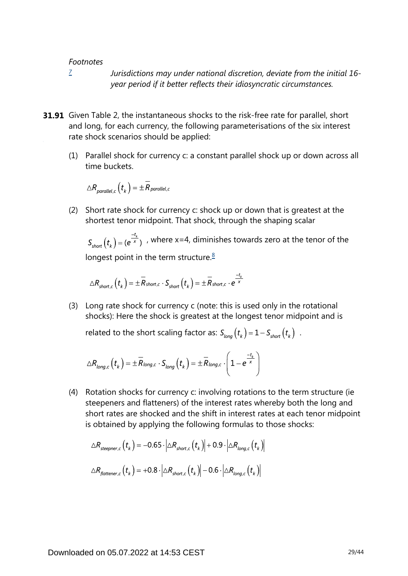*[7](#page-27-0)*

*Jurisdictions may under national discretion, deviate from the initial 16 year period if it better reflects their idiosyncratic circumstances.*

- <span id="page-28-0"></span>**31.91** Given Table 2, the instantaneous shocks to the risk-free rate for parallel, short and long, for each currency, the following parameterisations of the six interest rate shock scenarios should be applied:
	- (1) Parallel shock for currency c: a constant parallel shock up or down across all time buckets.

$$
\triangle R_{\textit{parallel},c} \left(t_{k} \right) = \pm \overline{R}_{\textit{parallel},c}
$$

<span id="page-28-1"></span>(2) Short rate shock for currency c: shock up or down that is greatest at the shortest tenor midpoint. That shock, through the shaping scalar

 $S_{short}(t_{\nu}) = (e^{\frac{-t_{\nu}}{x}})$ , where x=4, diminishes towards zero at the tenor of the longest point in the term structure. $8$ 

$$
\triangle R_{short,c}\left(t_{k}\right)=\pm\overset{-}{R}_{short,c}\cdot S_{short}\left(t_{k}\right)=\pm\overset{-}{R}_{short,c}\cdot e^{\frac{-t_{k}}{\times}}
$$

(3) Long rate shock for currency c (note: this is used only in the rotational shocks): Here the shock is greatest at the longest tenor midpoint and is

related to the short scaling factor as:  $S_{long}(t_k) = 1 - S_{short}(t_k)$ .

$$
\triangle R_{long,c}\left(t_{k}\right)=\pm\overline{R}_{long,c}\cdot S_{long}\left(t_{k}\right)=\pm\overline{R}_{long,c}\cdot\left(1-e^{\frac{-t_{k}}{x}}\right)
$$

(4) Rotation shocks for currency c: involving rotations to the term structure (ie steepeners and flatteners) of the interest rates whereby both the long and short rates are shocked and the shift in interest rates at each tenor midpoint is obtained by applying the following formulas to those shocks:

$$
\Delta R_{steepner,c} (t_k) = -0.65 \cdot |\Delta R_{short,c} (t_k)| + 0.9 \cdot |\Delta R_{long,c} (t_k)|
$$
  

$$
\Delta R_{fatterer,c} (t_k) = +0.8 \cdot |\Delta R_{short,c} (t_k)| -0.6 \cdot |\Delta R_{long,c} (t_k)|
$$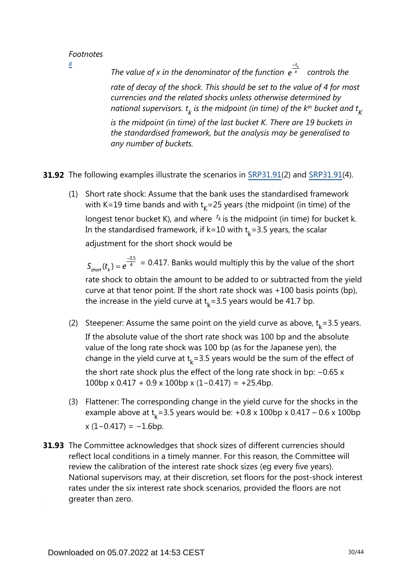<span id="page-29-0"></span>*[8](#page-28-1)*

*The value of x in the denominator of the function*  $e^{\frac{-t_k}{x}}$  *controls the rate of decay of the shock. This should be set to the value of 4 for most currencies and the related shocks unless otherwise determined by*   $\kappa$  *national supervisors.*  $t_{k}$  *is the midpoint (in time) of the k* $^{\text{th}}$  *bucket and*  $t_{K}$ *is the midpoint (in time) of the last bucket K. There are 19 buckets in the standardised framework, but the analysis may be generalised to any number of buckets.*

**31.92** The following examples illustrate the scenarios in [SRP31.91\(](https://www.bis.org/basel_framework/chapter/SRP/31.htm?tldate=20281012&inforce=20191215&published=20191215#paragraph_SRP_31_20191215_31_91)2) and SRP31.91(4).

(1) Short rate shock: Assume that the bank uses the standardised framework with K=19 time bands and with  $t<sub>k</sub>$ =25 years (the midpoint (in time) of the longest tenor bucket K), and where  $t_k$  is the midpoint (in time) for bucket k. In the standardised framework, if k=10 with  $t<sub>k</sub>$ =3.5 years, the scalar adjustment for the short shock would be

 $S_{short}(t_{\nu}) = e^{\frac{-3.5}{4}} = 0.417$ . Banks would multiply this by the value of the short rate shock to obtain the amount to be added to or subtracted from the yield curve at that tenor point. If the short rate shock was +100 basis points (bp), the increase in the yield curve at  $t_k$ =3.5 years would be 41.7 bp.

- (2) Steepener: Assume the same point on the yield curve as above,  $t_k = 3.5$  years. If the absolute value of the short rate shock was 100 bp and the absolute value of the long rate shock was 100 bp (as for the Japanese yen), the change in the yield curve at  $t<sub>k</sub> = 3.5$  years would be the sum of the effect of the short rate shock plus the effect of the long rate shock in bp: −0.65 x 100bp x 0.417 + 0.9 x 100bp x (1−0.417) = +25.4bp.
- (3) Flattener: The corresponding change in the yield curve for the shocks in the example above at  $t_k$ =3.5 years would be: +0.8 x 100bp x 0.417 – 0.6 x 100bp  $x (1 - 0.417) = -1.6$ bp.
- **31.93** The Committee acknowledges that shock sizes of different currencies should reflect local conditions in a timely manner. For this reason, the Committee will review the calibration of the interest rate shock sizes (eg every five years). National supervisors may, at their discretion, set floors for the post-shock interest rates under the six interest rate shock scenarios, provided the floors are not greater than zero.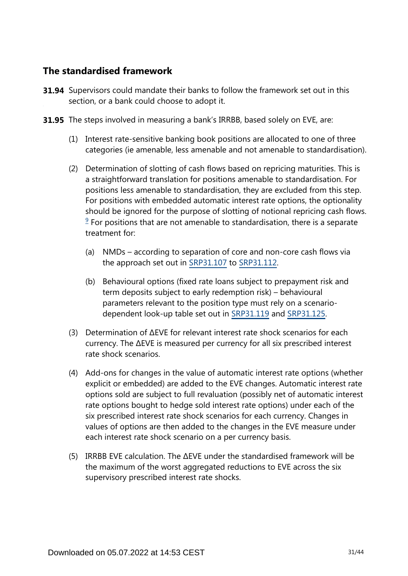## **The standardised framework**

- **31.94** Supervisors could mandate their banks to follow the framework set out in this section, or a bank could choose to adopt it.
- **31.95** The steps involved in measuring a bank's IRRBB, based solely on EVE, are:
	- (1) Interest rate-sensitive banking book positions are allocated to one of three categories (ie amenable, less amenable and not amenable to standardisation).
	- (2) Determination of slotting of cash flows based on repricing maturities. This is a straightforward translation for positions amenable to standardisation. For positions less amenable to standardisation, they are excluded from this step. For positions with embedded automatic interest rate options, the optionality should be ignored for the purpose of slotting of notional repricing cash flows.  $9$  For positions that are not amenable to standardisation, there is a separate treatment for:
		- (a) NMDs according to separation of core and non-core cash flows via the approach set out in [SRP31.107](https://www.bis.org/basel_framework/chapter/SRP/31.htm?tldate=20281012&inforce=20191215&published=20191215#paragraph_SRP_31_20191215_31_107) to [SRP31.112](https://www.bis.org/basel_framework/chapter/SRP/31.htm?tldate=20281012&inforce=20191215&published=20191215#paragraph_SRP_31_20191215_31_112).
		- (b) Behavioural options (fixed rate loans subject to prepayment risk and term deposits subject to early redemption risk) – behavioural parameters relevant to the position type must rely on a scenariodependent look-up table set out in [SRP31.119](https://www.bis.org/basel_framework/chapter/SRP/31.htm?tldate=20281012&inforce=20191215&published=20191215#paragraph_SRP_31_20191215_31_119) and [SRP31.125.](https://www.bis.org/basel_framework/chapter/SRP/31.htm?tldate=20281012&inforce=20191215&published=20191215#paragraph_SRP_31_20191215_31_125)
	- (3) Determination of ∆EVE for relevant interest rate shock scenarios for each currency. The ∆EVE is measured per currency for all six prescribed interest rate shock scenarios.
	- (4) Add-ons for changes in the value of automatic interest rate options (whether explicit or embedded) are added to the EVE changes. Automatic interest rate options sold are subject to full revaluation (possibly net of automatic interest rate options bought to hedge sold interest rate options) under each of the six prescribed interest rate shock scenarios for each currency. Changes in values of options are then added to the changes in the EVE measure under each interest rate shock scenario on a per currency basis.
	- (5) IRRBB EVE calculation. The ∆EVE under the standardised framework will be the maximum of the worst aggregated reductions to EVE across the six supervisory prescribed interest rate shocks.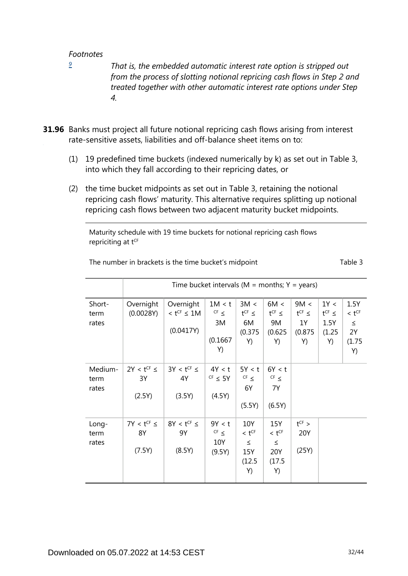<span id="page-31-0"></span>*[9](#page-0-0)*

*That is, the embedded automatic interest rate option is stripped out from the process of slotting notional repricing cash flows in Step 2 and treated together with other automatic interest rate options under Step 4.*

- **31.96** Banks must project all future notional repricing cash flows arising from interest rate-sensitive assets, liabilities and off-balance sheet items on to:
	- (1) 19 predefined time buckets (indexed numerically by k) as set out in Table 3, into which they fall according to their repricing dates, or
	- (2) the time bucket midpoints as set out in Table 3, retaining the notional repricing cash flows' maturity. This alternative requires splitting up notional repricing cash flows between two adjacent maturity bucket midpoints.

Maturity schedule with 19 time buckets for notional repricing cash flows repriciting at tCF

|                          | Time bucket intervals ( $M =$ months; $Y =$ years) |                                                         |                                             |                                                             |                                                             |                                                |                                              |                                                    |
|--------------------------|----------------------------------------------------|---------------------------------------------------------|---------------------------------------------|-------------------------------------------------------------|-------------------------------------------------------------|------------------------------------------------|----------------------------------------------|----------------------------------------------------|
| Short-<br>term<br>rates  | Overnight<br>(0.0028Y)                             | Overnight<br>$<$ t <sup>CF</sup> $\leq$ 1M<br>(0.0417Y) | 1M < t<br>$CF \leq$<br>3M<br>(0.1667)<br>Y) | 3M <<br>$t^{CF} \le$<br>6M<br>(0.375)<br>Y)                 | 6M <<br>$t^{CF} \le$<br>9M<br>(0.625)<br>Y)                 | 9M <<br>$t^{CF}$ $\leq$<br>1Y<br>(0.875)<br>Y) | 1Y <<br>$t^{CF} \le$<br>1.5Y<br>(1.25)<br>Y) | 1.5Y<br>$< t^{CF}$<br>$\leq$<br>2Y<br>(1.75)<br>Y) |
| Medium-<br>term<br>rates | $2Y < t^{CF} \le$<br>3Y<br>(2.5Y)                  | $3Y < t^{CF} \le$<br>4Y<br>(3.5Y)                       | 4Y < t<br>$CF \leq 5Y$<br>(4.5Y)            | 5Y < t<br>$CF \leq$<br>6Y<br>(5.5Y)                         | 6Y < t<br>$CF \leq$<br>7Y<br>(6.5Y)                         |                                                |                                              |                                                    |
| Long-<br>term<br>rates   | $7Y < t^{CF} \le$<br>8Y<br>(7.5Y)                  | $8Y < t^{CF} \le$<br>9Y<br>(8.5Y)                       | 9Y < t<br>$CF \leq$<br>10Y<br>(9.5Y)        | 10Y<br>$<$ t <sup>CF</sup><br>$\leq$<br>15Y<br>(12.5)<br>Y) | 15Y<br>$<$ t <sup>CF</sup><br>$\leq$<br>20Y<br>(17.5)<br>Y) | $t^{CF}$ ><br>20Y<br>(25Y)                     |                                              |                                                    |

The number in brackets is the time bucket's midpoint The number in brackets is the time bucket's midpoint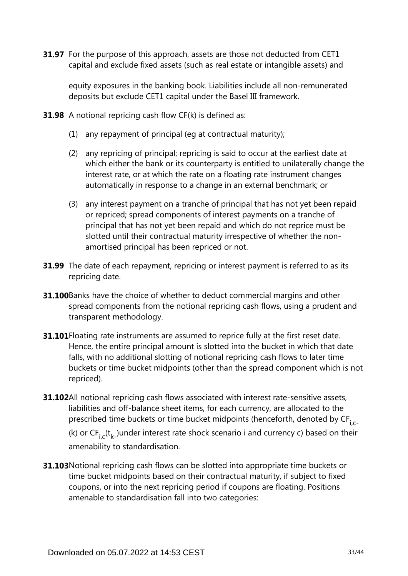**31.97** For the purpose of this approach, assets are those not deducted from CET1 capital and exclude fixed assets (such as real estate or intangible assets) and

equity exposures in the banking book. Liabilities include all non-remunerated deposits but exclude CET1 capital under the Basel III framework.

- **31.98** A notional repricing cash flow CF(k) is defined as:
	- (1) any repayment of principal (eg at contractual maturity);
	- (2) any repricing of principal; repricing is said to occur at the earliest date at which either the bank or its counterparty is entitled to unilaterally change the interest rate, or at which the rate on a floating rate instrument changes automatically in response to a change in an external benchmark; or
	- (3) any interest payment on a tranche of principal that has not yet been repaid or repriced; spread components of interest payments on a tranche of principal that has not yet been repaid and which do not reprice must be slotted until their contractual maturity irrespective of whether the nonamortised principal has been repriced or not.
- **31.99** The date of each repayment, repricing or interest payment is referred to as its repricing date.
- **31.100**Banks have the choice of whether to deduct commercial margins and other spread components from the notional repricing cash flows, using a prudent and transparent methodology.
- **31.101** Floating rate instruments are assumed to reprice fully at the first reset date. Hence, the entire principal amount is slotted into the bucket in which that date falls, with no additional slotting of notional repricing cash flows to later time buckets or time bucket midpoints (other than the spread component which is not repriced).
- **31.102**All notional repricing cash flows associated with interest rate-sensitive assets, liabilities and off-balance sheet items, for each currency, are allocated to the prescribed time buckets or time bucket midpoints (henceforth, denoted by CF<sub>i.c</sub>.

(k) or  $CF_i^-(t_k^-)$ under interest rate shock scenario i and currency c) based on their amenability to standardisation.

**31.103** Notional repricing cash flows can be slotted into appropriate time buckets or time bucket midpoints based on their contractual maturity, if subject to fixed coupons, or into the next repricing period if coupons are floating. Positions amenable to standardisation fall into two categories: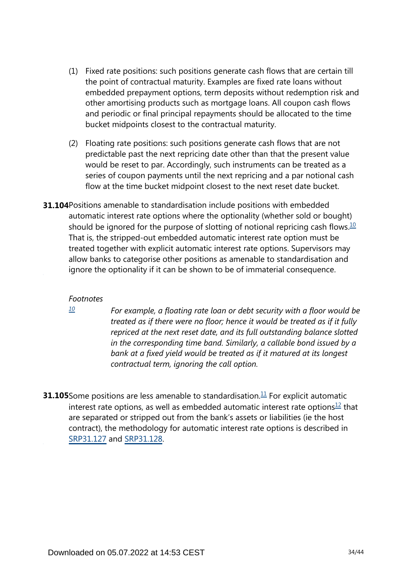- (1) Fixed rate positions: such positions generate cash flows that are certain till the point of contractual maturity. Examples are fixed rate loans without embedded prepayment options, term deposits without redemption risk and other amortising products such as mortgage loans. All coupon cash flows and periodic or final principal repayments should be allocated to the time bucket midpoints closest to the contractual maturity.
- (2) Floating rate positions: such positions generate cash flows that are not predictable past the next repricing date other than that the present value would be reset to par. Accordingly, such instruments can be treated as a series of coupon payments until the next repricing and a par notional cash flow at the time bucket midpoint closest to the next reset date bucket.
- <span id="page-33-1"></span>**31.104** Positions amenable to standardisation include positions with embedded automatic interest rate options where the optionality (whether sold or bought) should be ignored for the purpose of slotting of notional repricing cash flows.<sup>[10](#page-33-0)</sup> That is, the stripped-out embedded automatic interest rate option must be treated together with explicit automatic interest rate options. Supervisors may allow banks to categorise other positions as amenable to standardisation and ignore the optionality if it can be shown to be of immaterial consequence.

<span id="page-33-0"></span>*[10](#page-33-1)*

*For example, a floating rate loan or debt security with a floor would be treated as if there were no floor; hence it would be treated as if it fully repriced at the next reset date, and its full outstanding balance slotted in the corresponding time band. Similarly, a callable bond issued by a bank at a fixed yield would be treated as if it matured at its longest contractual term, ignoring the call option.*

<span id="page-33-3"></span><span id="page-33-2"></span>**31.105** Some positions are less amenable to standardisation. $\frac{11}{1}$  $\frac{11}{1}$  $\frac{11}{1}$  For explicit automatic interest rate options, as well as embedded automatic interest rate options $12$  that are separated or stripped out from the bank's assets or liabilities (ie the host contract), the methodology for automatic interest rate options is described in [SRP31.127](https://www.bis.org/basel_framework/chapter/SRP/31.htm?tldate=20281012&inforce=20191215&published=20191215#paragraph_SRP_31_20191215_31_127) and [SRP31.128](https://www.bis.org/basel_framework/chapter/SRP/31.htm?tldate=20281012&inforce=20191215&published=20191215#paragraph_SRP_31_20191215_31_128).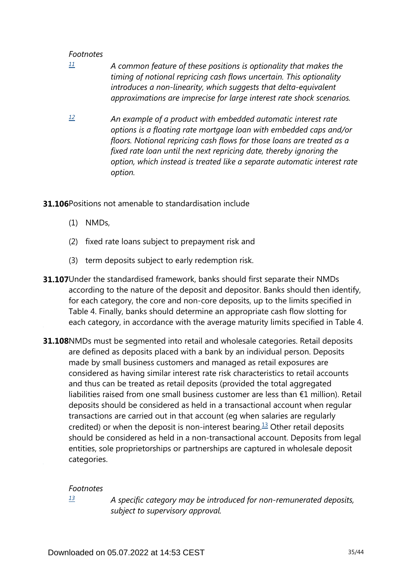- <span id="page-34-0"></span>*A common feature of these positions is optionality that makes the timing of notional repricing cash flows uncertain. This optionality introduces a non-linearity, which suggests that delta-equivalent approximations are imprecise for large interest rate shock scenarios. [11](#page-33-2)*
- <span id="page-34-1"></span>*An example of a product with embedded automatic interest rate options is a floating rate mortgage loan with embedded caps and/or floors. Notional repricing cash flows for those loans are treated as a fixed rate loan until the next repricing date, thereby ignoring the option, which instead is treated like a separate automatic interest rate option. [12](#page-33-3)*
- **31.106**Positions not amenable to standardisation include
	- (1) NMDs,
	- (2) fixed rate loans subject to prepayment risk and
	- (3) term deposits subject to early redemption risk.
- **31.107**Under the standardised framework, banks should first separate their NMDs according to the nature of the deposit and depositor. Banks should then identify, for each category, the core and non-core deposits, up to the limits specified in Table 4. Finally, banks should determine an appropriate cash flow slotting for each category, in accordance with the average maturity limits specified in Table 4.
- **31.108**NMDs must be segmented into retail and wholesale categories. Retail deposits are defined as deposits placed with a bank by an individual person. Deposits made by small business customers and managed as retail exposures are considered as having similar interest rate risk characteristics to retail accounts and thus can be treated as retail deposits (provided the total aggregated liabilities raised from one small business customer are less than €1 million). Retail deposits should be considered as held in a transactional account when regular transactions are carried out in that account (eg when salaries are regularly credited) or when the deposit is non-interest bearing.<sup>[13](#page-34-2)</sup> Other retail deposits should be considered as held in a non-transactional account. Deposits from legal entities, sole proprietorships or partnerships are captured in wholesale deposit categories.

#### <span id="page-34-3"></span>*Footnotes*

<span id="page-34-2"></span>*[13](#page-34-3)*

*A specific category may be introduced for non-remunerated deposits, subject to supervisory approval.*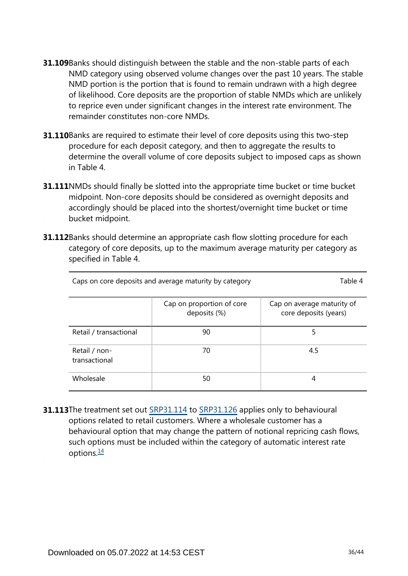- **31.109** Banks should distinguish between the stable and the non-stable parts of each NMD category using observed volume changes over the past 10 years. The stable NMD portion is the portion that is found to remain undrawn with a high degree of likelihood. Core deposits are the proportion of stable NMDs which are unlikely to reprice even under significant changes in the interest rate environment. The remainder constitutes non-core NMDs.
- **31.110**Banks are required to estimate their level of core deposits using this two-step procedure for each deposit category, and then to aggregate the results to determine the overall volume of core deposits subject to imposed caps as shown in Table 4.
- **31.111**NMDs should finally be slotted into the appropriate time bucket or time bucket midpoint. Non-core deposits should be considered as overnight deposits and accordingly should be placed into the shortest/overnight time bucket or time bucket midpoint.
- **31.112**Banks should determine an appropriate cash flow slotting procedure for each category of core deposits, up to the maximum average maturity per category as specified in Table 4.

| Caps on core deposits and average maturity by category | Table 4                                   |                                                     |
|--------------------------------------------------------|-------------------------------------------|-----------------------------------------------------|
|                                                        | Cap on proportion of core<br>deposits (%) | Cap on average maturity of<br>core deposits (years) |
| Retail / transactional                                 | 90                                        | 5                                                   |
| Retail / non-<br>transactional                         | 70                                        | 4.5                                                 |
| Wholesale                                              | 50                                        | 4                                                   |

<span id="page-35-0"></span>**31.113**The treatment set out [SRP31.114](https://www.bis.org/basel_framework/chapter/SRP/31.htm?tldate=20281012&inforce=20191215&published=20191215#paragraph_SRP_31_20191215_31_114) to [SRP31.126](https://www.bis.org/basel_framework/chapter/SRP/31.htm?tldate=20281012&inforce=20191215&published=20191215#paragraph_SRP_31_20191215_31_126) applies only to behavioural options related to retail customers. Where a wholesale customer has a behavioural option that may change the pattern of notional repricing cash flows, such options must be included within the category of automatic interest rate options. $\frac{14}{1}$  $\frac{14}{1}$  $\frac{14}{1}$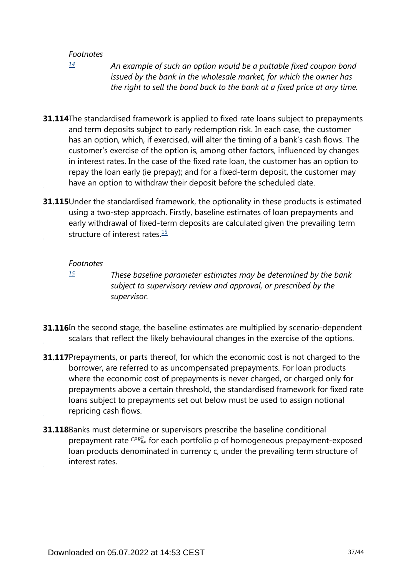<span id="page-36-0"></span>*[14](#page-35-0)*

*An example of such an option would be a puttable fixed coupon bond issued by the bank in the wholesale market, for which the owner has the right to sell the bond back to the bank at a fixed price at any time.*

- **31.114**The standardised framework is applied to fixed rate loans subject to prepayments and term deposits subject to early redemption risk. In each case, the customer has an option, which, if exercised, will alter the timing of a bank's cash flows. The customer's exercise of the option is, among other factors, influenced by changes in interest rates. In the case of the fixed rate loan, the customer has an option to repay the loan early (ie prepay); and for a fixed-term deposit, the customer may have an option to withdraw their deposit before the scheduled date.
- <span id="page-36-2"></span>**31.115** Under the standardised framework, the optionality in these products is estimated using a two-step approach. Firstly, baseline estimates of loan prepayments and early withdrawal of fixed-term deposits are calculated given the prevailing term structure of interest rates. $15$

#### *Footnotes*

<span id="page-36-1"></span>*[15](#page-36-2)*

*These baseline parameter estimates may be determined by the bank subject to supervisory review and approval, or prescribed by the supervisor.*

- **31.116**In the second stage, the baseline estimates are multiplied by scenario-dependent scalars that reflect the likely behavioural changes in the exercise of the options.
- **31.117** Prepayments, or parts thereof, for which the economic cost is not charged to the borrower, are referred to as uncompensated prepayments. For loan products where the economic cost of prepayments is never charged, or charged only for prepayments above a certain threshold, the standardised framework for fixed rate loans subject to prepayments set out below must be used to assign notional repricing cash flows.
- **31.118** Banks must determine or supervisors prescribe the baseline conditional prepayment rate  $\binom{CPR_{0,c}^p}{P}$  for each portfolio p of homogeneous prepayment-exposed loan products denominated in currency c, under the prevailing term structure of interest rates.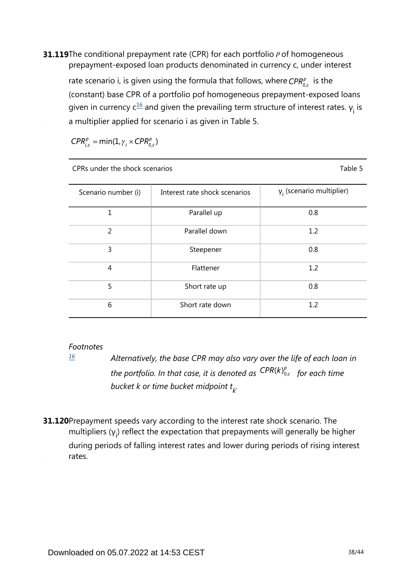<span id="page-37-1"></span>**31.119**The conditional prepayment rate (CPR) for each portfolio *P* of homogeneous prepayment-exposed loan products denominated in currency c, under interest

rate scenario i, is given using the formula that follows, where  $CPR_{0c}^p$  is the (constant) base CPR of a portfolio pof homogeneous prepayment-exposed loans given in currency  $c^{\underline{16}}$  $c^{\underline{16}}$  $c^{\underline{16}}$  and given the prevailing term structure of interest rates.  $y_i$  is a multiplier applied for scenario i as given in Table 5.

 $CPR_{i,c}^p = min(1, \gamma_i \times CPR_{0,c}^p)$ 

| CPRs under the shock scenarios | Table 5                       |                                  |
|--------------------------------|-------------------------------|----------------------------------|
| Scenario number (i)            | Interest rate shock scenarios | $\gamma_i$ (scenario multiplier) |
| 1                              | Parallel up                   | 0.8                              |
| $\overline{2}$                 | Parallel down                 | 1.2                              |
| 3                              | Steepener                     | 0.8                              |
| $\overline{4}$                 | Flattener                     | 1.2                              |
| 5                              | Short rate up                 | 0.8                              |
| 6                              | Short rate down               | 1.2                              |

### *Footnotes*

**31.120** Prepayment speeds vary according to the interest rate shock scenario. The multipliers  $(y_i)$  reflect the expectation that prepayments will generally be higher during periods of falling interest rates and lower during periods of rising interest rates.

<span id="page-37-0"></span>*Alternatively, the base CPR may also vary over the life of each loan in the portfolio. In that case, it is denoted as*  $\binom{CPR(k)_{0,c}^p}{p}$  *for each time bucket k or time bucket midpoint t . k [16](#page-37-1)*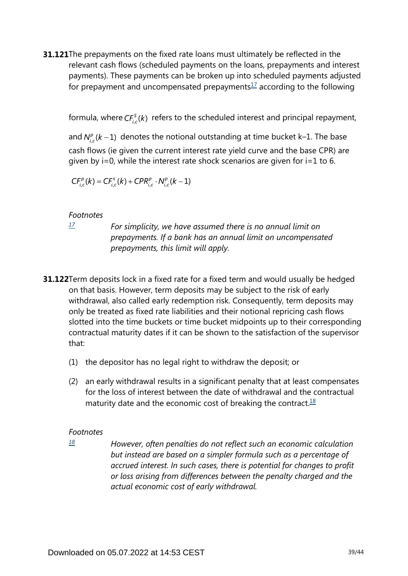<span id="page-38-1"></span>**31.121**The prepayments on the fixed rate loans must ultimately be reflected in the relevant cash flows (scheduled payments on the loans, prepayments and interest payments). These payments can be broken up into scheduled payments adjusted for prepayment and uncompensated prepayments $1/2$  according to the following

formula, where  $CF_{i,c}^{s}(k)$  refers to the scheduled interest and principal repayment,

and  $N_{i,c}^{p}(k-1)$  denotes the notional outstanding at time bucket k–1. The base cash flows (ie given the current interest rate yield curve and the base CPR) are given by i=0, while the interest rate shock scenarios are given for i=1 to 6.

 $CF_{i,c}^{p}(k) = CF_{i,c}^{s}(k) + CPR_{i,c}^{p} \cdot N_{i,c}^{p}(k-1)$ 

#### *Footnotes*

<span id="page-38-0"></span>*[17](#page-38-1)*

*For simplicity, we have assumed there is no annual limit on prepayments. If a bank has an annual limit on uncompensated prepayments, this limit will apply.*

- **31.122**Term deposits lock in a fixed rate for a fixed term and would usually be hedged on that basis. However, term deposits may be subject to the risk of early withdrawal, also called early redemption risk. Consequently, term deposits may only be treated as fixed rate liabilities and their notional repricing cash flows slotted into the time buckets or time bucket midpoints up to their corresponding contractual maturity dates if it can be shown to the satisfaction of the supervisor that:
	- (1) the depositor has no legal right to withdraw the deposit; or
	- (2) an early withdrawal results in a significant penalty that at least compensates for the loss of interest between the date of withdrawal and the contractual maturity date and the economic cost of breaking the contract. $18$

#### <span id="page-38-3"></span>*Footnotes*

<span id="page-38-2"></span>*[18](#page-38-3)*

*However, often penalties do not reflect such an economic calculation but instead are based on a simpler formula such as a percentage of accrued interest. In such cases, there is potential for changes to profit or loss arising from differences between the penalty charged and the actual economic cost of early withdrawal.*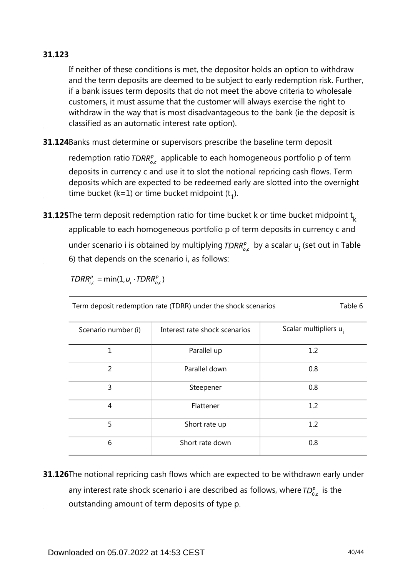## **31.123**

If neither of these conditions is met, the depositor holds an option to withdraw and the term deposits are deemed to be subject to early redemption risk. Further, if a bank issues term deposits that do not meet the above criteria to wholesale customers, it must assume that the customer will always exercise the right to withdraw in the way that is most disadvantageous to the bank (ie the deposit is classified as an automatic interest rate option).

**31.124**Banks must determine or supervisors prescribe the baseline term deposit

redemption ratio  $TDRR_{ac}^{p}$  applicable to each homogeneous portfolio p of term deposits in currency c and use it to slot the notional repricing cash flows. Term deposits which are expected to be redeemed early are slotted into the overnight time bucket (k=1) or time bucket midpoint  $(t_1)$ .

**31.125**The term deposit redemption ratio for time bucket k or time bucket midpoint  $\mathsf{t}_{\mathsf{k}}$ applicable to each homogeneous portfolio p of term deposits in currency c and under scenario i is obtained by multiplying  $TDRR_{o,c}^p$  by a scalar  $u_i$  (set out in Table 6) that depends on the scenario i, as follows:

$$
TDRR_{i.c}^p = \min(1, u_i \cdot TDRR_{o.c}^p)
$$

Term deposit redemption rate (TDRR) under the shock scenarios Table 6

| Scenario number (i) | Interest rate shock scenarios | Scalar multipliers u <sub>i</sub> |
|---------------------|-------------------------------|-----------------------------------|
| 1                   | Parallel up                   | 1.2                               |
| 2                   | Parallel down                 | 0.8                               |
| 3                   | Steepener                     | 0.8                               |
| 4                   | Flattener                     | 1.2                               |
| 5                   | Short rate up                 | 1.2                               |
| 6                   | Short rate down               | 0.8                               |

**31.126**The notional repricing cash flows which are expected to be withdrawn early under any interest rate shock scenario i are described as follows, where  $TD_{0,c}^p$  is the outstanding amount of term deposits of type p.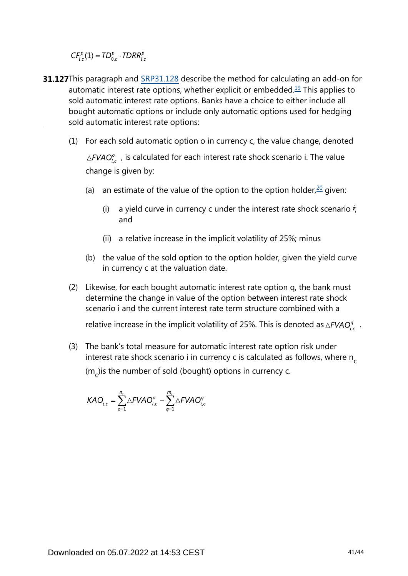$CF_{i,c}^p(1) = TD_{0,c}^p \cdot TDRR_{i,c}^p$ 

- <span id="page-40-1"></span><span id="page-40-0"></span>**31.127**This paragraph and [SRP31.128](https://www.bis.org/basel_framework/chapter/SRP/31.htm?tldate=20281012&inforce=20191215&published=20191215#paragraph_SRP_31_20191215_31_128) describe the method for calculating an add-on for automatic interest rate options, whether explicit or embedded.<sup>[19](#page-41-0)</sup> This applies to sold automatic interest rate options. Banks have a choice to either include all bought automatic options or include only automatic options used for hedging sold automatic interest rate options:
	- (1) For each sold automatic option o in currency c, the value change, denoted  $\triangle FVAO_{i,c}^o$ , is calculated for each interest rate shock scenario i. The value change is given by:
		- (a) an estimate of the value of the option to the option holder, $20$  given:
			- (i) a yield curve in currency c under the interest rate shock scenario  $\dot{r}$ ; and
			- (ii) a relative increase in the implicit volatility of 25%; minus
		- (b) the value of the sold option to the option holder, given the yield curve in currency c at the valuation date.
	- (2) Likewise, for each bought automatic interest rate option q, the bank must determine the change in value of the option between interest rate shock scenario i and the current interest rate term structure combined with a

relative increase in the implicit volatility of 25%. This is denoted as  $\triangle FVAO_i^q$ .

(3) The bank's total measure for automatic interest rate option risk under interest rate shock scenario i in currency c is calculated as follows, where n<sub>c</sub> (m<sub>c</sub>)is the number of sold (bought) options in currency c.

$$
KAO_{i,c} = \sum_{o=1}^{n_c} \triangle FVAO_{i,c}^o - \sum_{q=1}^{m_c} \triangle FVAO_{i,c}^q
$$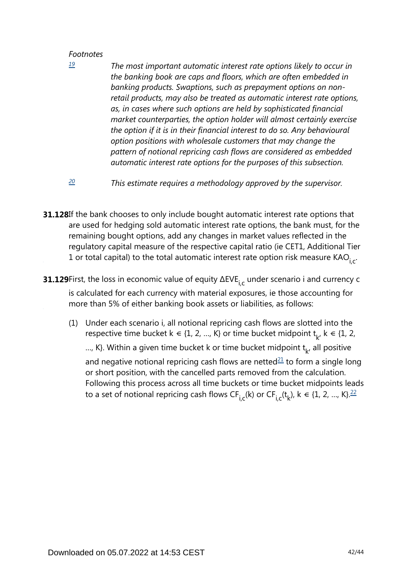<span id="page-41-0"></span>*[19](#page-40-0)*

*The most important automatic interest rate options likely to occur in the banking book are caps and floors, which are often embedded in banking products. Swaptions, such as prepayment options on nonretail products, may also be treated as automatic interest rate options, as, in cases where such options are held by sophisticated financial market counterparties, the option holder will almost certainly exercise the option if it is in their financial interest to do so. Any behavioural option positions with wholesale customers that may change the pattern of notional repricing cash flows are considered as embedded automatic interest rate options for the purposes of this subsection.*

- *This estimate requires a methodology approved by the supervisor. [20](#page-40-1)*
- <span id="page-41-1"></span>**31.128**If the bank chooses to only include bought automatic interest rate options that are used for hedging sold automatic interest rate options, the bank must, for the remaining bought options, add any changes in market values reflected in the regulatory capital measure of the respective capital ratio (ie CET1, Additional Tier 1 or total capital) to the total automatic interest rate option risk measure KAO<sub>i,c</sub>.
- **31.129**First, the loss in economic value of equity  $\Delta$ EVE $_{\mathsf{i,c}}$  under scenario i and currency c is calculated for each currency with material exposures, ie those accounting for more than 5% of either banking book assets or liabilities, as follows:
	- (1) Under each scenario i, all notional repricing cash flows are slotted into the respective time bucket  $k \in \{1, 2, ..., K\}$  or time bucket midpoint  $t_{k}$ ,  $k \in \{1, 2, ..., K\}$ ..., K}. Within a given time bucket k or time bucket midpoint  $t_{\nu}$ , all positive and negative notional repricing cash flows are netted $2\pm 1$  to form a single long or short position, with the cancelled parts removed from the calculation.

<span id="page-41-3"></span><span id="page-41-2"></span>Following this process across all time buckets or time bucket midpoints leads to a set of notional repricing cash flows CF<sub>i,c</sub>(k) or CF<sub>i,c</sub>(t<sub>k</sub>), k  $\in$  {1, 2, ..., K}. $^{22}$  $^{22}$  $^{22}$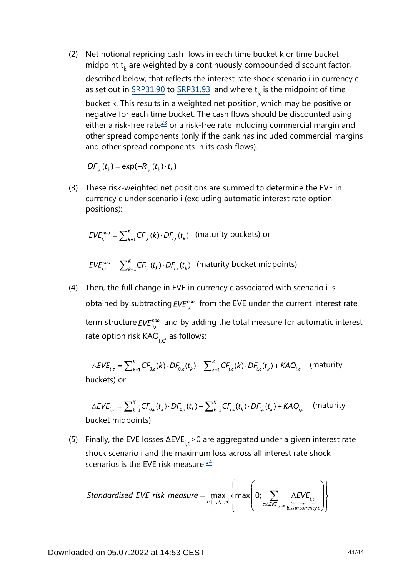(2) Net notional repricing cash flows in each time bucket k or time bucket midpoint  $t_k$  are weighted by a continuously compounded discount factor, described below, that reflects the interest rate shock scenario i in currency c as set out in  $\frac{SRP31.90}{SRP31.93}$ , and where  $t_k$  is the midpoint of time bucket k. This results in a weighted net position, which may be positive or negative for each time bucket. The cash flows should be discounted using either a risk-free rate<sup>[23](#page-43-2)</sup> or a risk-free rate including commercial margin and other spread components (only if the bank has included commercial margins and other spread components in its cash flows).

 $DF_{i,c}(t_{\nu}) = \exp(-R_{i,c}(t_{\nu}) \cdot t_{\nu})$ 

<span id="page-42-0"></span>(3) These risk-weighted net positions are summed to determine the EVE in currency c under scenario i (excluding automatic interest rate option positions):

$$
EVE_{i,c}^{nao} = \sum_{k=1}^{K} CF_{i,c}(k) \cdot DF_{i,c}(t_k)
$$
 (maturity buckets) or

 $EVE_{i,c}^{n\alpha\alpha} = \sum_{k=1}^{K} CF_{i,c}(t_k) \cdot DF_{i,c}(t_k)$  (maturity bucket midpoints)

(4) Then, the full change in EVE in currency c associated with scenario i is obtained by subtracting  $EVE_{i,c}^{nao}$  from the EVE under the current interest rate term structure  $EVE_{0,c}^{nao}$  and by adding the total measure for automatic interest rate option risk  $KAO_{i.c'}$  as follows:

$$
\triangle EVE_{i,c} = \sum_{k=1}^{K} CF_{0,c}(k) \cdot DF_{0,c}(t_k) - \sum_{k=1}^{K} CF_{i,c}(k) \cdot DF_{i,c}(t_k) + KAO_{i,c}
$$
 (maturity buckets) or

$$
\triangle EVE_{i,c} = \sum_{k=1}^{K} CF_{0,c}(t_k) \cdot DF_{0,c}(t_k) - \sum_{k=1}^{K} CF_{i,c}(t_k) \cdot DF_{i,c}(t_k) + KAO_{i,c} \quad \text{(maturity bucket midpoints)}
$$

<span id="page-42-1"></span>(5) Finally, the EVE losses  $\Delta$ EVE<sub>ic</sub> > 0 are aggregated under a given interest rate shock scenario i and the maximum loss across all interest rate shock scenarios is the EVE risk measure. $24$ 

Standardised EVE risk measure = 
$$
\max_{i \in \{1,2,\dots,6\}} \left\{ \max \left(0; \sum_{c: \Delta EVE_{i,c>0}} \frac{\Delta EVE_{i,c}}{\text{lossincurrencyc}} \right) \right\}
$$